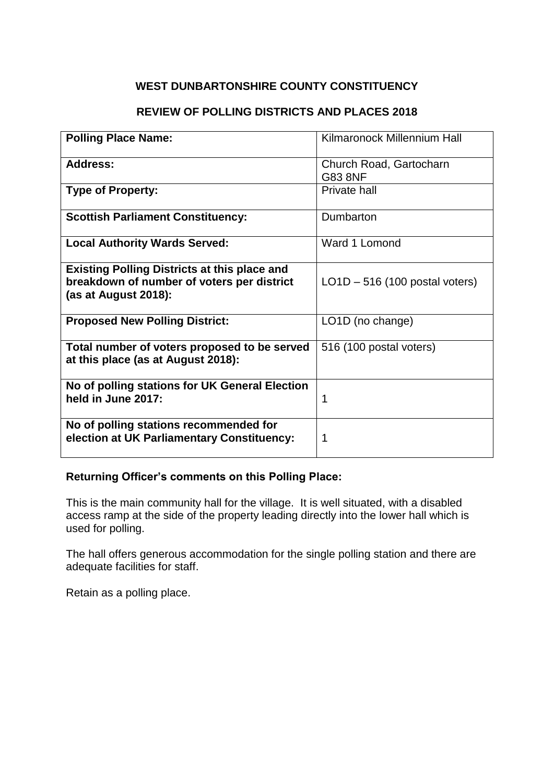### **REVIEW OF POLLING DISTRICTS AND PLACES 2018**

| <b>Polling Place Name:</b>                                                           | Kilmaronock Millennium Hall      |
|--------------------------------------------------------------------------------------|----------------------------------|
| <b>Address:</b>                                                                      | Church Road, Gartocharn          |
|                                                                                      | <b>G83 8NF</b>                   |
| <b>Type of Property:</b>                                                             | Private hall                     |
|                                                                                      |                                  |
| <b>Scottish Parliament Constituency:</b>                                             | Dumbarton                        |
| <b>Local Authority Wards Served:</b>                                                 | Ward 1 Lomond                    |
| <b>Existing Polling Districts at this place and</b>                                  |                                  |
| breakdown of number of voters per district                                           | $LO1D - 516$ (100 postal voters) |
| (as at August 2018):                                                                 |                                  |
| <b>Proposed New Polling District:</b>                                                | LO1D (no change)                 |
|                                                                                      |                                  |
| Total number of voters proposed to be served<br>at this place (as at August 2018):   | 516 (100 postal voters)          |
| No of polling stations for UK General Election<br>held in June 2017:                 | 1                                |
| No of polling stations recommended for<br>election at UK Parliamentary Constituency: | 1                                |

### **Returning Officer's comments on this Polling Place:**

This is the main community hall for the village. It is well situated, with a disabled access ramp at the side of the property leading directly into the lower hall which is used for polling.

The hall offers generous accommodation for the single polling station and there are adequate facilities for staff.

Retain as a polling place.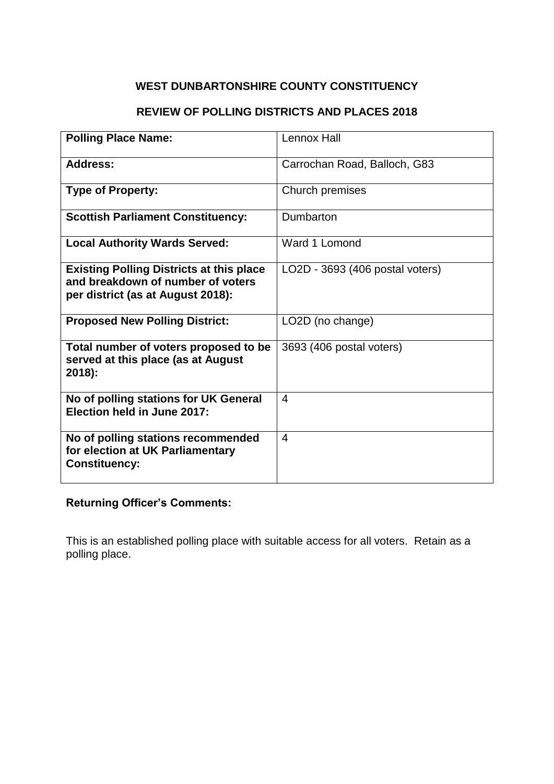### **REVIEW OF POLLING DISTRICTS AND PLACES 2018**

| <b>Polling Place Name:</b>                                                                                                | Lennox Hall                     |
|---------------------------------------------------------------------------------------------------------------------------|---------------------------------|
| <b>Address:</b>                                                                                                           | Carrochan Road, Balloch, G83    |
| <b>Type of Property:</b>                                                                                                  | Church premises                 |
| <b>Scottish Parliament Constituency:</b>                                                                                  | Dumbarton                       |
| <b>Local Authority Wards Served:</b>                                                                                      | Ward 1 Lomond                   |
| <b>Existing Polling Districts at this place</b><br>and breakdown of number of voters<br>per district (as at August 2018): | LO2D - 3693 (406 postal voters) |
| <b>Proposed New Polling District:</b>                                                                                     | LO2D (no change)                |
| Total number of voters proposed to be<br>served at this place (as at August<br>$2018$ :                                   | 3693 (406 postal voters)        |
| No of polling stations for UK General<br>Election held in June 2017:                                                      | 4                               |
| No of polling stations recommended<br>for election at UK Parliamentary<br><b>Constituency:</b>                            | 4                               |

### **Returning Officer's Comments:**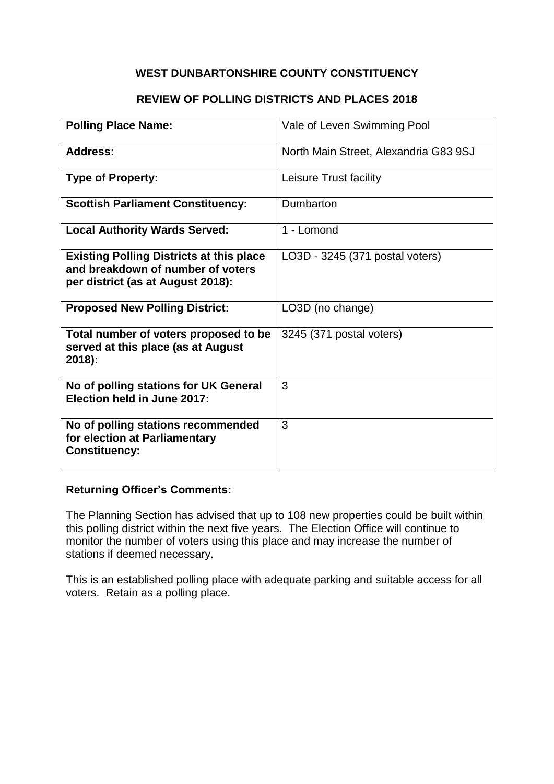### **REVIEW OF POLLING DISTRICTS AND PLACES 2018**

| <b>Polling Place Name:</b>                                                                                                | Vale of Leven Swimming Pool           |
|---------------------------------------------------------------------------------------------------------------------------|---------------------------------------|
| <b>Address:</b>                                                                                                           | North Main Street, Alexandria G83 9SJ |
| <b>Type of Property:</b>                                                                                                  | Leisure Trust facility                |
| <b>Scottish Parliament Constituency:</b>                                                                                  | Dumbarton                             |
| <b>Local Authority Wards Served:</b>                                                                                      | 1 - Lomond                            |
| <b>Existing Polling Districts at this place</b><br>and breakdown of number of voters<br>per district (as at August 2018): | LO3D - 3245 (371 postal voters)       |
| <b>Proposed New Polling District:</b>                                                                                     | LO3D (no change)                      |
| Total number of voters proposed to be<br>served at this place (as at August<br>2018):                                     | 3245 (371 postal voters)              |
| No of polling stations for UK General<br>Election held in June 2017:                                                      | 3                                     |
| No of polling stations recommended<br>for election at Parliamentary<br><b>Constituency:</b>                               | 3                                     |

# **Returning Officer's Comments:**

The Planning Section has advised that up to 108 new properties could be built within this polling district within the next five years. The Election Office will continue to monitor the number of voters using this place and may increase the number of stations if deemed necessary.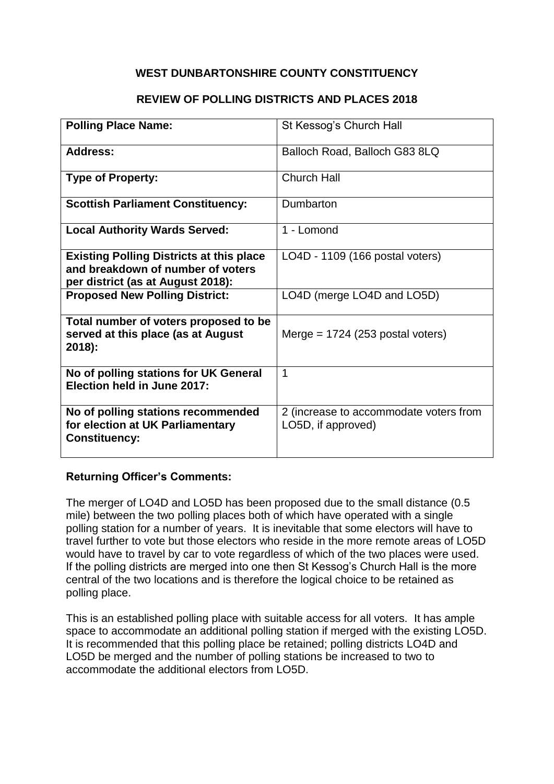#### **REVIEW OF POLLING DISTRICTS AND PLACES 2018**

| <b>Polling Place Name:</b>                                                                                                | St Kessog's Church Hall                                      |
|---------------------------------------------------------------------------------------------------------------------------|--------------------------------------------------------------|
| <b>Address:</b>                                                                                                           | Balloch Road, Balloch G83 8LQ                                |
| <b>Type of Property:</b>                                                                                                  | <b>Church Hall</b>                                           |
| <b>Scottish Parliament Constituency:</b>                                                                                  | Dumbarton                                                    |
| <b>Local Authority Wards Served:</b>                                                                                      | 1 - Lomond                                                   |
| <b>Existing Polling Districts at this place</b><br>and breakdown of number of voters<br>per district (as at August 2018): | LO4D - 1109 (166 postal voters)                              |
| <b>Proposed New Polling District:</b>                                                                                     | LO4D (merge LO4D and LO5D)                                   |
| Total number of voters proposed to be<br>served at this place (as at August<br>2018):                                     | Merge = $1724$ (253 postal voters)                           |
| No of polling stations for UK General<br>Election held in June 2017:                                                      | 1                                                            |
| No of polling stations recommended<br>for election at UK Parliamentary<br><b>Constituency:</b>                            | 2 (increase to accommodate voters from<br>LO5D, if approved) |

#### **Returning Officer's Comments:**

The merger of LO4D and LO5D has been proposed due to the small distance (0.5 mile) between the two polling places both of which have operated with a single polling station for a number of years. It is inevitable that some electors will have to travel further to vote but those electors who reside in the more remote areas of LO5D would have to travel by car to vote regardless of which of the two places were used. If the polling districts are merged into one then St Kessog's Church Hall is the more central of the two locations and is therefore the logical choice to be retained as polling place.

This is an established polling place with suitable access for all voters. It has ample space to accommodate an additional polling station if merged with the existing LO5D. It is recommended that this polling place be retained; polling districts LO4D and LO5D be merged and the number of polling stations be increased to two to accommodate the additional electors from LO5D.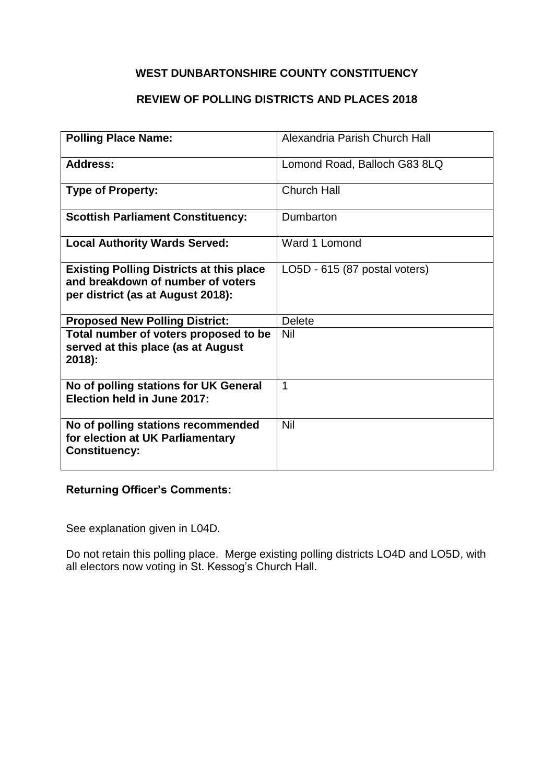### **REVIEW OF POLLING DISTRICTS AND PLACES 2018**

| <b>Polling Place Name:</b>                                                                                                | Alexandria Parish Church Hall |
|---------------------------------------------------------------------------------------------------------------------------|-------------------------------|
| <b>Address:</b>                                                                                                           | Lomond Road, Balloch G83 8LQ  |
| <b>Type of Property:</b>                                                                                                  | <b>Church Hall</b>            |
| <b>Scottish Parliament Constituency:</b>                                                                                  | Dumbarton                     |
| <b>Local Authority Wards Served:</b>                                                                                      | Ward 1 Lomond                 |
| <b>Existing Polling Districts at this place</b><br>and breakdown of number of voters<br>per district (as at August 2018): | LO5D - 615 (87 postal voters) |
| <b>Proposed New Polling District:</b>                                                                                     | <b>Delete</b>                 |
| Total number of voters proposed to be<br>served at this place (as at August<br>$2018$ :                                   | Nil                           |
| No of polling stations for UK General<br><b>Election held in June 2017:</b>                                               | 1                             |
| No of polling stations recommended<br>for election at UK Parliamentary<br><b>Constituency:</b>                            | Nil                           |

### **Returning Officer's Comments:**

See explanation given in L04D.

Do not retain this polling place. Merge existing polling districts LO4D and LO5D, with all electors now voting in St. Kessog's Church Hall.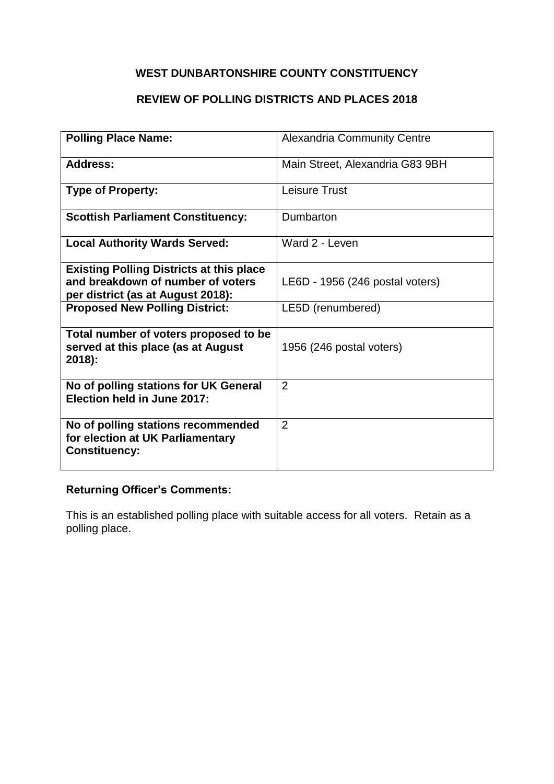# **REVIEW OF POLLING DISTRICTS AND PLACES 2018**

| <b>Polling Place Name:</b>                                                                                                | <b>Alexandria Community Centre</b> |
|---------------------------------------------------------------------------------------------------------------------------|------------------------------------|
| <b>Address:</b>                                                                                                           | Main Street, Alexandria G83 9BH    |
| <b>Type of Property:</b>                                                                                                  | Leisure Trust                      |
| <b>Scottish Parliament Constituency:</b>                                                                                  | Dumbarton                          |
| <b>Local Authority Wards Served:</b>                                                                                      | Ward 2 - Leven                     |
| <b>Existing Polling Districts at this place</b><br>and breakdown of number of voters<br>per district (as at August 2018): | LE6D - 1956 (246 postal voters)    |
| <b>Proposed New Polling District:</b>                                                                                     | LE5D (renumbered)                  |
| Total number of voters proposed to be<br>served at this place (as at August<br>$2018$ :                                   | 1956 (246 postal voters)           |
| No of polling stations for UK General<br>Election held in June 2017:                                                      | 2                                  |
| No of polling stations recommended<br>for election at UK Parliamentary<br><b>Constituency:</b>                            | 2                                  |

# **Returning Officer's Comments:**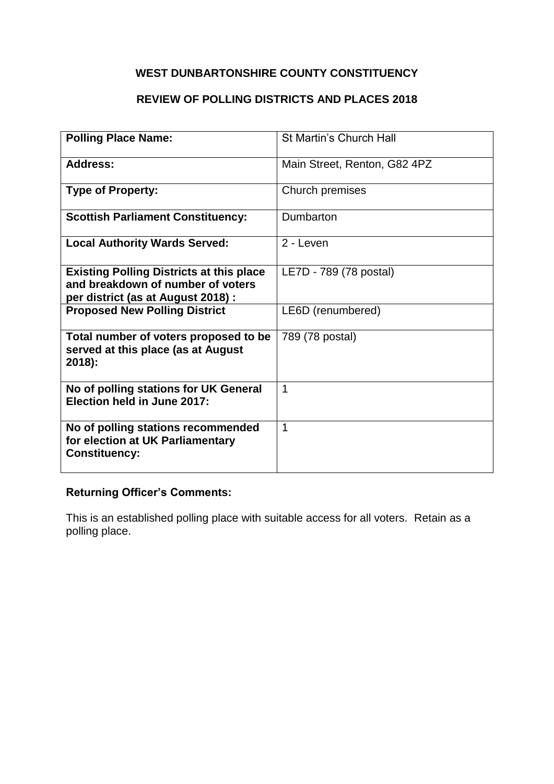# **REVIEW OF POLLING DISTRICTS AND PLACES 2018**

| <b>Polling Place Name:</b>                                                                                                 | St Martin's Church Hall      |
|----------------------------------------------------------------------------------------------------------------------------|------------------------------|
|                                                                                                                            |                              |
| <b>Address:</b>                                                                                                            | Main Street, Renton, G82 4PZ |
| <b>Type of Property:</b>                                                                                                   | Church premises              |
| <b>Scottish Parliament Constituency:</b>                                                                                   | Dumbarton                    |
| <b>Local Authority Wards Served:</b>                                                                                       | 2 - Leven                    |
| <b>Existing Polling Districts at this place</b><br>and breakdown of number of voters<br>per district (as at August 2018) : | LE7D - 789 (78 postal)       |
| <b>Proposed New Polling District</b>                                                                                       | LE6D (renumbered)            |
| Total number of voters proposed to be<br>served at this place (as at August<br>2018):                                      | 789 (78 postal)              |
| No of polling stations for UK General<br>Election held in June 2017:                                                       | 1                            |
| No of polling stations recommended<br>for election at UK Parliamentary<br><b>Constituency:</b>                             | $\mathbf 1$                  |

### **Returning Officer's Comments:**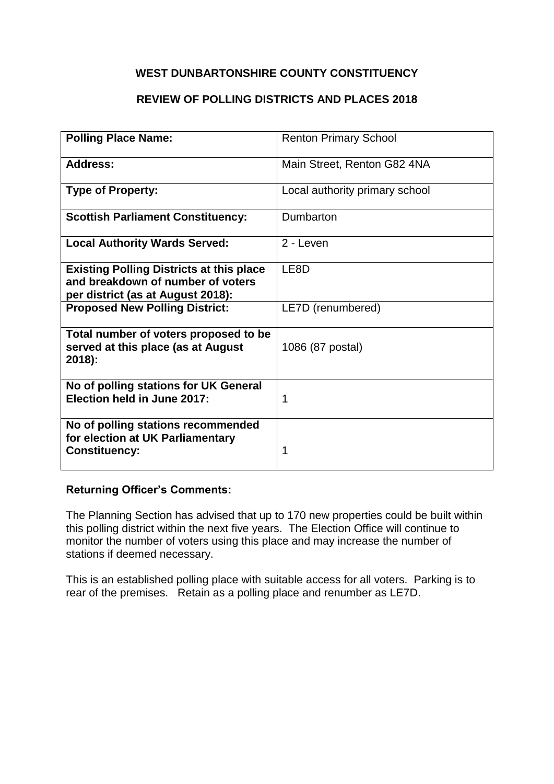### **REVIEW OF POLLING DISTRICTS AND PLACES 2018**

| <b>Polling Place Name:</b>                                                                                                | <b>Renton Primary School</b>   |
|---------------------------------------------------------------------------------------------------------------------------|--------------------------------|
|                                                                                                                           |                                |
| <b>Address:</b>                                                                                                           | Main Street, Renton G82 4NA    |
| <b>Type of Property:</b>                                                                                                  | Local authority primary school |
| <b>Scottish Parliament Constituency:</b>                                                                                  | Dumbarton                      |
| <b>Local Authority Wards Served:</b>                                                                                      | 2 - Leven                      |
| <b>Existing Polling Districts at this place</b><br>and breakdown of number of voters<br>per district (as at August 2018): | LE8D                           |
| <b>Proposed New Polling District:</b>                                                                                     | LE7D (renumbered)              |
| Total number of voters proposed to be<br>served at this place (as at August<br>2018):                                     | 1086 (87 postal)               |
| No of polling stations for UK General<br>Election held in June 2017:                                                      | 1                              |
| No of polling stations recommended<br>for election at UK Parliamentary<br><b>Constituency:</b>                            | 1                              |

#### **Returning Officer's Comments:**

The Planning Section has advised that up to 170 new properties could be built within this polling district within the next five years. The Election Office will continue to monitor the number of voters using this place and may increase the number of stations if deemed necessary.

This is an established polling place with suitable access for all voters. Parking is to rear of the premises. Retain as a polling place and renumber as LE7D.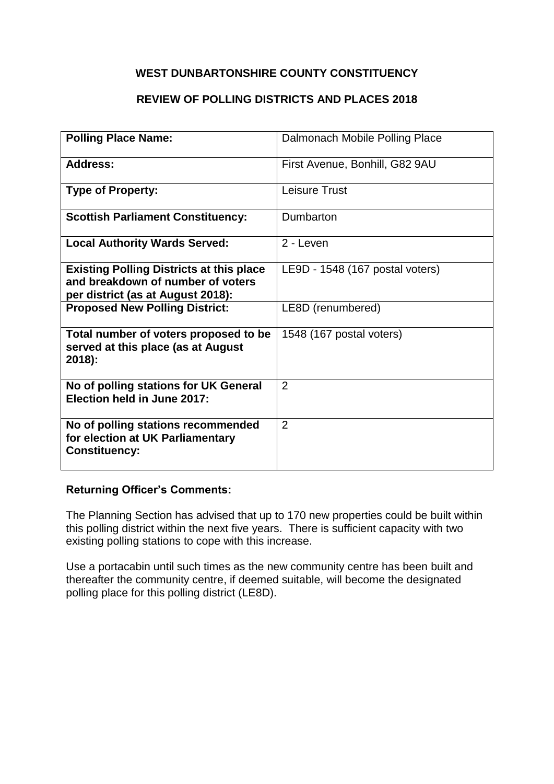### **REVIEW OF POLLING DISTRICTS AND PLACES 2018**

| <b>Polling Place Name:</b>                                                                                                | Dalmonach Mobile Polling Place  |
|---------------------------------------------------------------------------------------------------------------------------|---------------------------------|
| <b>Address:</b>                                                                                                           | First Avenue, Bonhill, G82 9AU  |
| <b>Type of Property:</b>                                                                                                  | Leisure Trust                   |
| <b>Scottish Parliament Constituency:</b>                                                                                  | Dumbarton                       |
| <b>Local Authority Wards Served:</b>                                                                                      | 2 - Leven                       |
| <b>Existing Polling Districts at this place</b><br>and breakdown of number of voters<br>per district (as at August 2018): | LE9D - 1548 (167 postal voters) |
| <b>Proposed New Polling District:</b>                                                                                     | LE8D (renumbered)               |
| Total number of voters proposed to be<br>served at this place (as at August<br>2018):                                     | 1548 (167 postal voters)        |
| No of polling stations for UK General<br>Election held in June 2017:                                                      | 2                               |
| No of polling stations recommended<br>for election at UK Parliamentary<br><b>Constituency:</b>                            | 2                               |

#### **Returning Officer's Comments:**

The Planning Section has advised that up to 170 new properties could be built within this polling district within the next five years. There is sufficient capacity with two existing polling stations to cope with this increase.

Use a portacabin until such times as the new community centre has been built and thereafter the community centre, if deemed suitable, will become the designated polling place for this polling district (LE8D).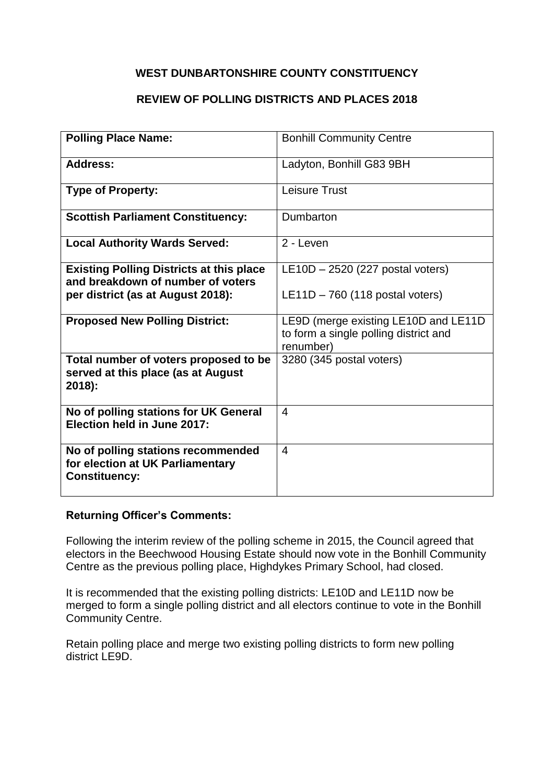### **REVIEW OF POLLING DISTRICTS AND PLACES 2018**

| <b>Polling Place Name:</b>                                                                                                | <b>Bonhill Community Centre</b>                                                            |
|---------------------------------------------------------------------------------------------------------------------------|--------------------------------------------------------------------------------------------|
| <b>Address:</b>                                                                                                           | Ladyton, Bonhill G83 9BH                                                                   |
| <b>Type of Property:</b>                                                                                                  | <b>Leisure Trust</b>                                                                       |
| <b>Scottish Parliament Constituency:</b>                                                                                  | Dumbarton                                                                                  |
| <b>Local Authority Wards Served:</b>                                                                                      | 2 - Leven                                                                                  |
| <b>Existing Polling Districts at this place</b><br>and breakdown of number of voters<br>per district (as at August 2018): | $LE10D - 2520$ (227 postal voters)<br>$LE11D - 760$ (118 postal voters)                    |
| <b>Proposed New Polling District:</b>                                                                                     | LE9D (merge existing LE10D and LE11D<br>to form a single polling district and<br>renumber) |
| Total number of voters proposed to be<br>served at this place (as at August<br>2018):                                     | 3280 (345 postal voters)                                                                   |
| No of polling stations for UK General<br>Election held in June 2017:                                                      | $\overline{4}$                                                                             |
| No of polling stations recommended<br>for election at UK Parliamentary<br><b>Constituency:</b>                            | $\overline{4}$                                                                             |

#### **Returning Officer's Comments:**

Following the interim review of the polling scheme in 2015, the Council agreed that electors in the Beechwood Housing Estate should now vote in the Bonhill Community Centre as the previous polling place, Highdykes Primary School, had closed.

It is recommended that the existing polling districts: LE10D and LE11D now be merged to form a single polling district and all electors continue to vote in the Bonhill Community Centre.

Retain polling place and merge two existing polling districts to form new polling district LE9D.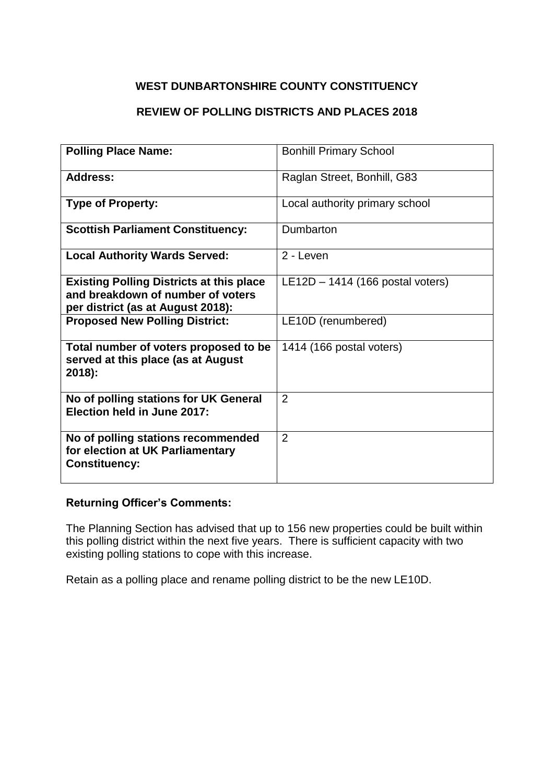# **REVIEW OF POLLING DISTRICTS AND PLACES 2018**

| <b>Polling Place Name:</b>                                                                                                | <b>Bonhill Primary School</b>      |
|---------------------------------------------------------------------------------------------------------------------------|------------------------------------|
| Address:                                                                                                                  | Raglan Street, Bonhill, G83        |
| <b>Type of Property:</b>                                                                                                  | Local authority primary school     |
| <b>Scottish Parliament Constituency:</b>                                                                                  | Dumbarton                          |
| <b>Local Authority Wards Served:</b>                                                                                      | 2 - Leven                          |
| <b>Existing Polling Districts at this place</b><br>and breakdown of number of voters<br>per district (as at August 2018): | $LE12D - 1414$ (166 postal voters) |
| <b>Proposed New Polling District:</b>                                                                                     | LE10D (renumbered)                 |
| Total number of voters proposed to be<br>served at this place (as at August<br>$2018$ :                                   | 1414 (166 postal voters)           |
| No of polling stations for UK General<br>Election held in June 2017:                                                      | $\overline{2}$                     |
| No of polling stations recommended<br>for election at UK Parliamentary<br><b>Constituency:</b>                            | 2                                  |

### **Returning Officer's Comments:**

The Planning Section has advised that up to 156 new properties could be built within this polling district within the next five years. There is sufficient capacity with two existing polling stations to cope with this increase.

Retain as a polling place and rename polling district to be the new LE10D.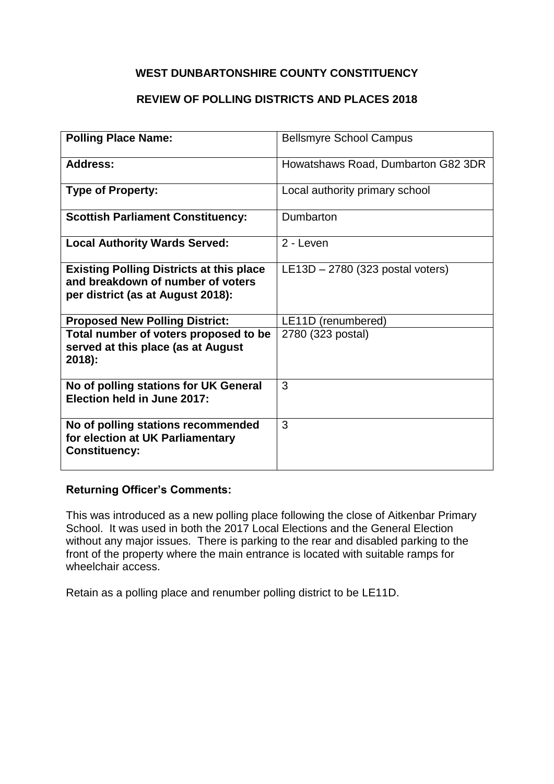### **REVIEW OF POLLING DISTRICTS AND PLACES 2018**

| <b>Polling Place Name:</b>                                                                                                | <b>Bellsmyre School Campus</b>     |
|---------------------------------------------------------------------------------------------------------------------------|------------------------------------|
| <b>Address:</b>                                                                                                           | Howatshaws Road, Dumbarton G82 3DR |
| <b>Type of Property:</b>                                                                                                  | Local authority primary school     |
| <b>Scottish Parliament Constituency:</b>                                                                                  | Dumbarton                          |
| <b>Local Authority Wards Served:</b>                                                                                      | 2 - Leven                          |
| <b>Existing Polling Districts at this place</b><br>and breakdown of number of voters<br>per district (as at August 2018): | $LE13D - 2780$ (323 postal voters) |
| <b>Proposed New Polling District:</b>                                                                                     | LE11D (renumbered)                 |
| Total number of voters proposed to be<br>served at this place (as at August<br>2018):                                     | 2780 (323 postal)                  |
| No of polling stations for UK General<br>Election held in June 2017:                                                      | 3                                  |
| No of polling stations recommended<br>for election at UK Parliamentary<br><b>Constituency:</b>                            | 3                                  |

#### **Returning Officer's Comments:**

This was introduced as a new polling place following the close of Aitkenbar Primary School. It was used in both the 2017 Local Elections and the General Election without any major issues. There is parking to the rear and disabled parking to the front of the property where the main entrance is located with suitable ramps for wheelchair access.

Retain as a polling place and renumber polling district to be LE11D.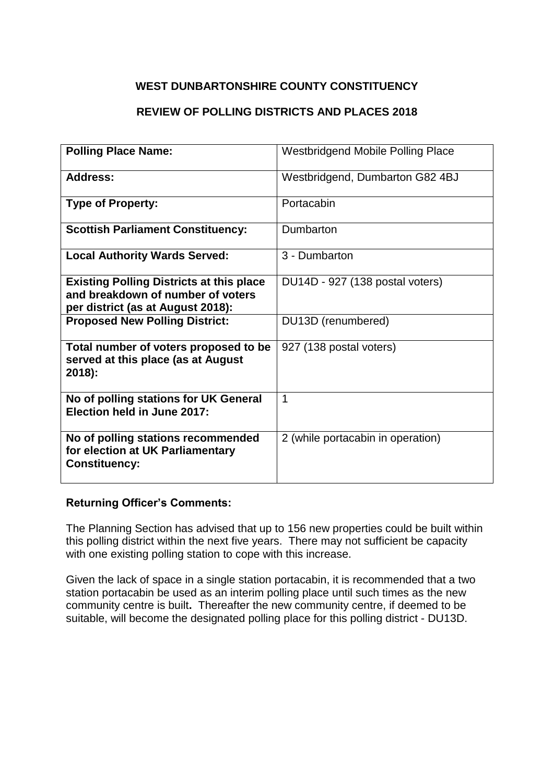### **REVIEW OF POLLING DISTRICTS AND PLACES 2018**

| <b>Polling Place Name:</b>                                                                                                | <b>Westbridgend Mobile Polling Place</b> |
|---------------------------------------------------------------------------------------------------------------------------|------------------------------------------|
| Address:                                                                                                                  | Westbridgend, Dumbarton G82 4BJ          |
| <b>Type of Property:</b>                                                                                                  | Portacabin                               |
| <b>Scottish Parliament Constituency:</b>                                                                                  | Dumbarton                                |
| <b>Local Authority Wards Served:</b>                                                                                      | 3 - Dumbarton                            |
| <b>Existing Polling Districts at this place</b><br>and breakdown of number of voters<br>per district (as at August 2018): | DU14D - 927 (138 postal voters)          |
| <b>Proposed New Polling District:</b>                                                                                     | DU13D (renumbered)                       |
| Total number of voters proposed to be<br>served at this place (as at August<br>$2018$ :                                   | 927 (138 postal voters)                  |
| No of polling stations for UK General<br>Election held in June 2017:                                                      | 1                                        |
| No of polling stations recommended<br>for election at UK Parliamentary<br><b>Constituency:</b>                            | 2 (while portacabin in operation)        |

#### **Returning Officer's Comments:**

The Planning Section has advised that up to 156 new properties could be built within this polling district within the next five years. There may not sufficient be capacity with one existing polling station to cope with this increase.

Given the lack of space in a single station portacabin, it is recommended that a two station portacabin be used as an interim polling place until such times as the new community centre is built**.** Thereafter the new community centre, if deemed to be suitable, will become the designated polling place for this polling district - DU13D.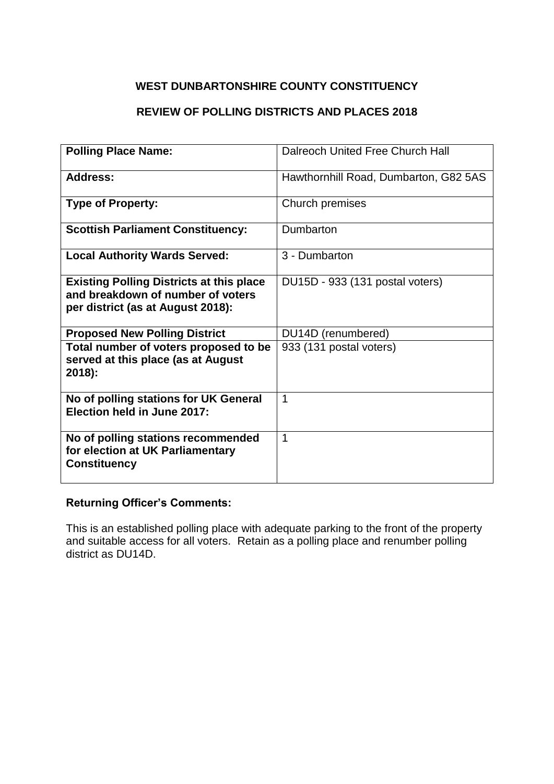### **REVIEW OF POLLING DISTRICTS AND PLACES 2018**

| <b>Polling Place Name:</b>                                                                                                | Dalreoch United Free Church Hall      |
|---------------------------------------------------------------------------------------------------------------------------|---------------------------------------|
| Address:                                                                                                                  | Hawthornhill Road, Dumbarton, G82 5AS |
| <b>Type of Property:</b>                                                                                                  | Church premises                       |
| <b>Scottish Parliament Constituency:</b>                                                                                  | Dumbarton                             |
| <b>Local Authority Wards Served:</b>                                                                                      | 3 - Dumbarton                         |
| <b>Existing Polling Districts at this place</b><br>and breakdown of number of voters<br>per district (as at August 2018): | DU15D - 933 (131 postal voters)       |
| <b>Proposed New Polling District</b>                                                                                      | DU14D (renumbered)                    |
| Total number of voters proposed to be<br>served at this place (as at August<br>2018):                                     | 933 (131 postal voters)               |
| No of polling stations for UK General<br>Election held in June 2017:                                                      | 1                                     |
| No of polling stations recommended<br>for election at UK Parliamentary<br><b>Constituency</b>                             | 1                                     |

### **Returning Officer's Comments:**

This is an established polling place with adequate parking to the front of the property and suitable access for all voters. Retain as a polling place and renumber polling district as DU14D.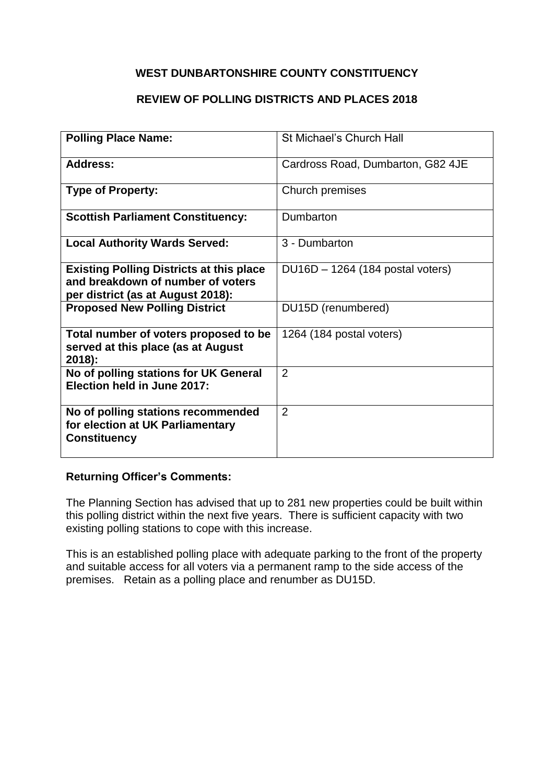### **REVIEW OF POLLING DISTRICTS AND PLACES 2018**

| <b>Polling Place Name:</b>                                                                                                | St Michael's Church Hall           |
|---------------------------------------------------------------------------------------------------------------------------|------------------------------------|
| <b>Address:</b>                                                                                                           | Cardross Road, Dumbarton, G82 4JE  |
| <b>Type of Property:</b>                                                                                                  | Church premises                    |
| <b>Scottish Parliament Constituency:</b>                                                                                  | Dumbarton                          |
| <b>Local Authority Wards Served:</b>                                                                                      | 3 - Dumbarton                      |
| <b>Existing Polling Districts at this place</b><br>and breakdown of number of voters<br>per district (as at August 2018): | $DU16D - 1264$ (184 postal voters) |
| <b>Proposed New Polling District</b>                                                                                      | DU15D (renumbered)                 |
| Total number of voters proposed to be<br>served at this place (as at August<br>2018):                                     | 1264 (184 postal voters)           |
| No of polling stations for UK General<br>Election held in June 2017:                                                      | $\overline{2}$                     |
| No of polling stations recommended<br>for election at UK Parliamentary<br><b>Constituency</b>                             | 2                                  |

### **Returning Officer's Comments:**

The Planning Section has advised that up to 281 new properties could be built within this polling district within the next five years. There is sufficient capacity with two existing polling stations to cope with this increase.

This is an established polling place with adequate parking to the front of the property and suitable access for all voters via a permanent ramp to the side access of the premises. Retain as a polling place and renumber as DU15D.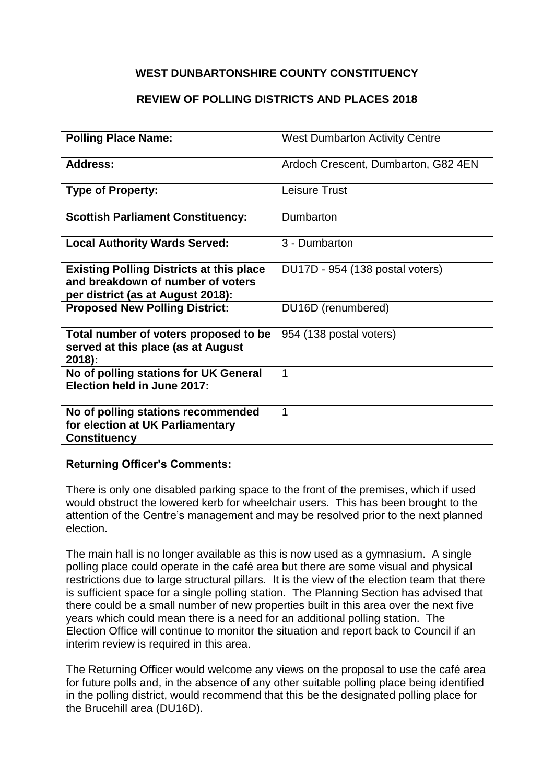### **REVIEW OF POLLING DISTRICTS AND PLACES 2018**

| <b>Polling Place Name:</b>                      | <b>West Dumbarton Activity Centre</b> |
|-------------------------------------------------|---------------------------------------|
|                                                 |                                       |
| <b>Address:</b>                                 | Ardoch Crescent, Dumbarton, G82 4EN   |
|                                                 |                                       |
| <b>Type of Property:</b>                        | Leisure Trust                         |
| <b>Scottish Parliament Constituency:</b>        | Dumbarton                             |
|                                                 |                                       |
| <b>Local Authority Wards Served:</b>            | 3 - Dumbarton                         |
| <b>Existing Polling Districts at this place</b> | DU17D - 954 (138 postal voters)       |
| and breakdown of number of voters               |                                       |
| per district (as at August 2018):               |                                       |
| <b>Proposed New Polling District:</b>           | DU16D (renumbered)                    |
|                                                 |                                       |
| Total number of voters proposed to be           | 954 (138 postal voters)               |
| served at this place (as at August<br>$2018$ :  |                                       |
| No of polling stations for UK General           | 1                                     |
| Election held in June 2017:                     |                                       |
|                                                 |                                       |
| No of polling stations recommended              | $\mathbf 1$                           |
| for election at UK Parliamentary                |                                       |
| <b>Constituency</b>                             |                                       |

### **Returning Officer's Comments:**

There is only one disabled parking space to the front of the premises, which if used would obstruct the lowered kerb for wheelchair users. This has been brought to the attention of the Centre's management and may be resolved prior to the next planned election.

The main hall is no longer available as this is now used as a gymnasium. A single polling place could operate in the café area but there are some visual and physical restrictions due to large structural pillars. It is the view of the election team that there is sufficient space for a single polling station. The Planning Section has advised that there could be a small number of new properties built in this area over the next five years which could mean there is a need for an additional polling station. The Election Office will continue to monitor the situation and report back to Council if an interim review is required in this area.

The Returning Officer would welcome any views on the proposal to use the café area for future polls and, in the absence of any other suitable polling place being identified in the polling district, would recommend that this be the designated polling place for the Brucehill area (DU16D).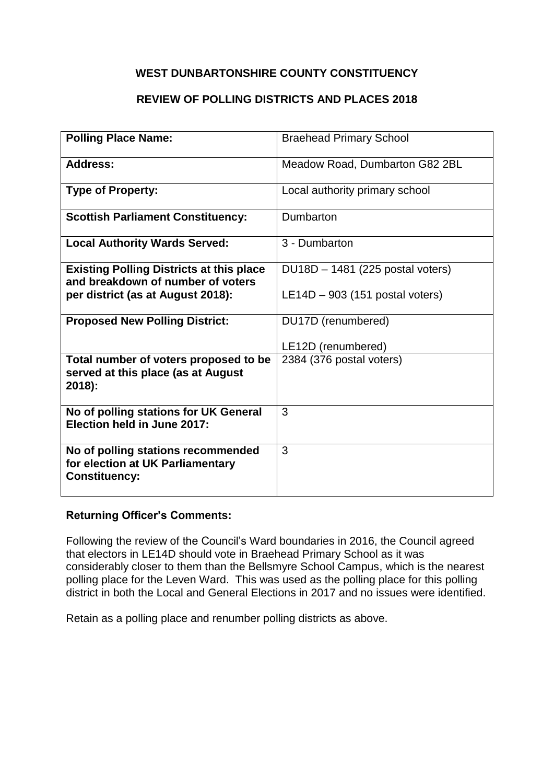### **REVIEW OF POLLING DISTRICTS AND PLACES 2018**

| <b>Polling Place Name:</b>                                                                     | <b>Braehead Primary School</b>    |
|------------------------------------------------------------------------------------------------|-----------------------------------|
|                                                                                                |                                   |
| <b>Address:</b>                                                                                | Meadow Road, Dumbarton G82 2BL    |
| <b>Type of Property:</b>                                                                       | Local authority primary school    |
| <b>Scottish Parliament Constituency:</b>                                                       | Dumbarton                         |
| <b>Local Authority Wards Served:</b>                                                           | 3 - Dumbarton                     |
| <b>Existing Polling Districts at this place</b><br>and breakdown of number of voters           | DU18D - 1481 (225 postal voters)  |
| per district (as at August 2018):                                                              | $LE14D - 903$ (151 postal voters) |
| <b>Proposed New Polling District:</b>                                                          | DU17D (renumbered)                |
|                                                                                                | LE12D (renumbered)                |
| Total number of voters proposed to be<br>served at this place (as at August<br>2018):          | 2384 (376 postal voters)          |
| No of polling stations for UK General<br>Election held in June 2017:                           | 3                                 |
| No of polling stations recommended<br>for election at UK Parliamentary<br><b>Constituency:</b> | 3                                 |

#### **Returning Officer's Comments:**

Following the review of the Council's Ward boundaries in 2016, the Council agreed that electors in LE14D should vote in Braehead Primary School as it was considerably closer to them than the Bellsmyre School Campus, which is the nearest polling place for the Leven Ward. This was used as the polling place for this polling district in both the Local and General Elections in 2017 and no issues were identified.

Retain as a polling place and renumber polling districts as above.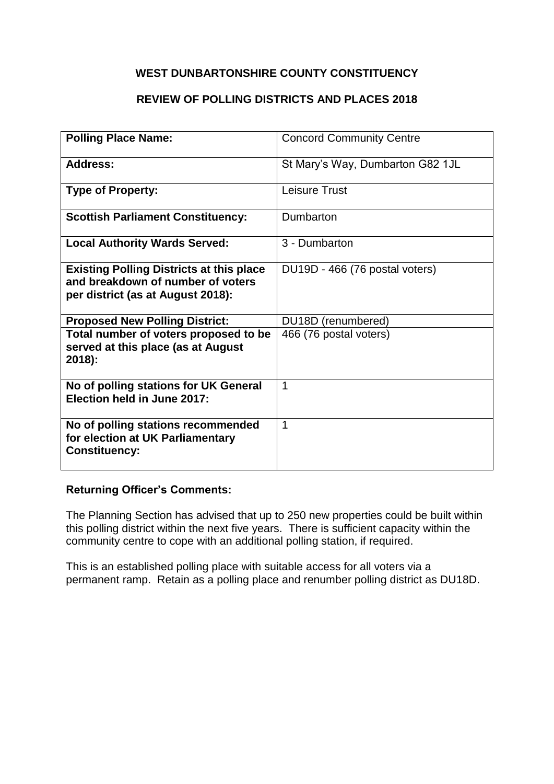### **REVIEW OF POLLING DISTRICTS AND PLACES 2018**

| <b>Polling Place Name:</b>                                                                                                | <b>Concord Community Centre</b>  |
|---------------------------------------------------------------------------------------------------------------------------|----------------------------------|
| Address:                                                                                                                  | St Mary's Way, Dumbarton G82 1JL |
| <b>Type of Property:</b>                                                                                                  | Leisure Trust                    |
| <b>Scottish Parliament Constituency:</b>                                                                                  | Dumbarton                        |
| <b>Local Authority Wards Served:</b>                                                                                      | 3 - Dumbarton                    |
| <b>Existing Polling Districts at this place</b><br>and breakdown of number of voters<br>per district (as at August 2018): | DU19D - 466 (76 postal voters)   |
| <b>Proposed New Polling District:</b>                                                                                     | DU18D (renumbered)               |
| Total number of voters proposed to be<br>served at this place (as at August<br>2018):                                     | 466 (76 postal voters)           |
| No of polling stations for UK General<br>Election held in June 2017:                                                      | 1                                |
| No of polling stations recommended<br>for election at UK Parliamentary<br><b>Constituency:</b>                            | 1                                |

#### **Returning Officer's Comments:**

The Planning Section has advised that up to 250 new properties could be built within this polling district within the next five years. There is sufficient capacity within the community centre to cope with an additional polling station, if required.

This is an established polling place with suitable access for all voters via a permanent ramp. Retain as a polling place and renumber polling district as DU18D.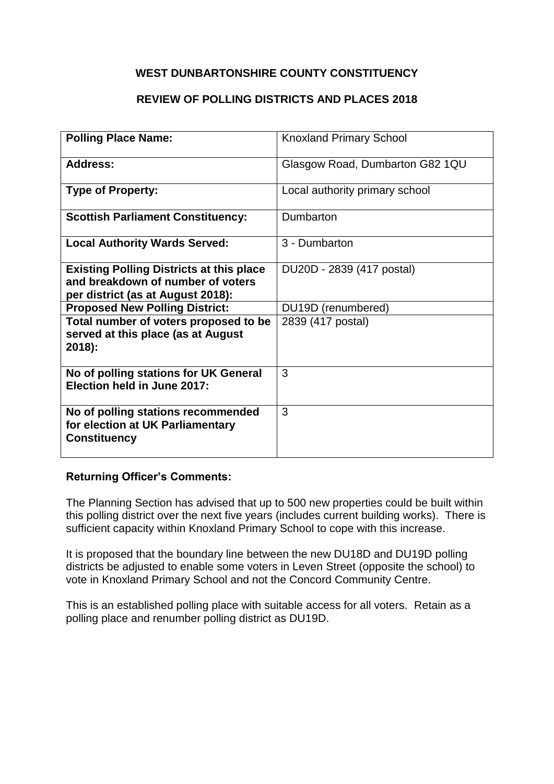### **REVIEW OF POLLING DISTRICTS AND PLACES 2018**

| <b>Polling Place Name:</b>                      | <b>Knoxland Primary School</b>  |
|-------------------------------------------------|---------------------------------|
|                                                 |                                 |
|                                                 |                                 |
| Address:                                        | Glasgow Road, Dumbarton G82 1QU |
|                                                 |                                 |
| <b>Type of Property:</b>                        | Local authority primary school  |
|                                                 |                                 |
| <b>Scottish Parliament Constituency:</b>        | Dumbarton                       |
|                                                 |                                 |
| <b>Local Authority Wards Served:</b>            | 3 - Dumbarton                   |
|                                                 |                                 |
| <b>Existing Polling Districts at this place</b> | DU20D - 2839 (417 postal)       |
| and breakdown of number of voters               |                                 |
| per district (as at August 2018):               |                                 |
| <b>Proposed New Polling District:</b>           | DU19D (renumbered)              |
|                                                 |                                 |
| Total number of voters proposed to be           | 2839 (417 postal)               |
| served at this place (as at August              |                                 |
| $2018$ :                                        |                                 |
|                                                 |                                 |
| No of polling stations for UK General           | 3                               |
| <b>Election held in June 2017:</b>              |                                 |
|                                                 |                                 |
| No of polling stations recommended              | 3                               |
| for election at UK Parliamentary                |                                 |
| <b>Constituency</b>                             |                                 |
|                                                 |                                 |
|                                                 |                                 |

### **Returning Officer's Comments:**

The Planning Section has advised that up to 500 new properties could be built within this polling district over the next five years (includes current building works). There is sufficient capacity within Knoxland Primary School to cope with this increase.

It is proposed that the boundary line between the new DU18D and DU19D polling districts be adjusted to enable some voters in Leven Street (opposite the school) to vote in Knoxland Primary School and not the Concord Community Centre.

This is an established polling place with suitable access for all voters. Retain as a polling place and renumber polling district as DU19D.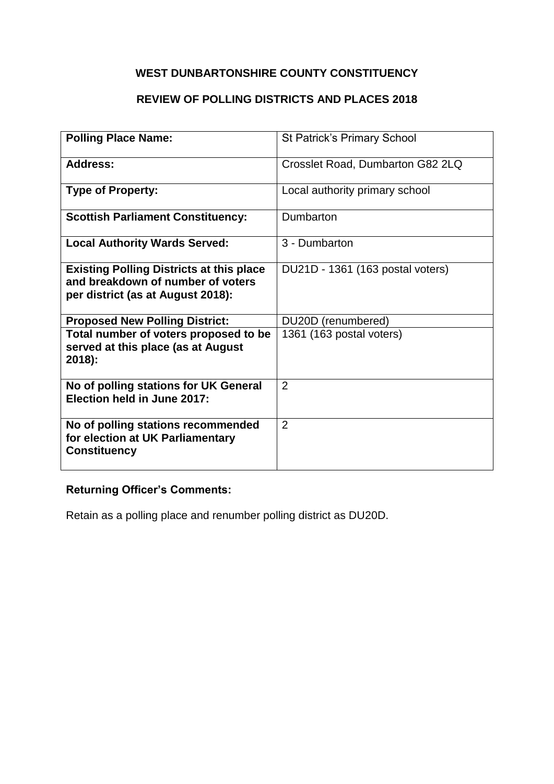# **REVIEW OF POLLING DISTRICTS AND PLACES 2018**

| <b>Polling Place Name:</b>                                                                                                | <b>St Patrick's Primary School</b> |
|---------------------------------------------------------------------------------------------------------------------------|------------------------------------|
| Address:                                                                                                                  | Crosslet Road, Dumbarton G82 2LQ   |
| <b>Type of Property:</b>                                                                                                  | Local authority primary school     |
| <b>Scottish Parliament Constituency:</b>                                                                                  | Dumbarton                          |
| <b>Local Authority Wards Served:</b>                                                                                      | 3 - Dumbarton                      |
| <b>Existing Polling Districts at this place</b><br>and breakdown of number of voters<br>per district (as at August 2018): | DU21D - 1361 (163 postal voters)   |
| <b>Proposed New Polling District:</b>                                                                                     | DU20D (renumbered)                 |
| Total number of voters proposed to be<br>served at this place (as at August<br>2018):                                     | 1361 (163 postal voters)           |
| No of polling stations for UK General<br>Election held in June 2017:                                                      | $\mathcal{P}$                      |
| No of polling stations recommended<br>for election at UK Parliamentary<br><b>Constituency</b>                             | 2                                  |

# **Returning Officer's Comments:**

Retain as a polling place and renumber polling district as DU20D.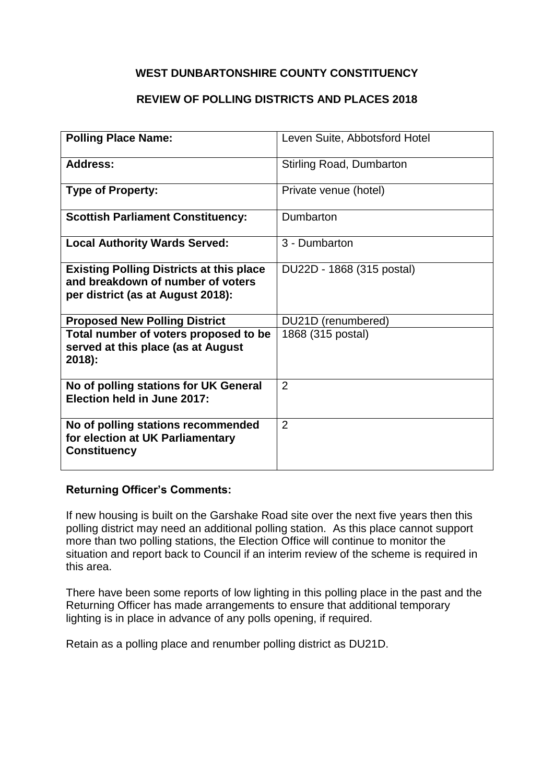### **REVIEW OF POLLING DISTRICTS AND PLACES 2018**

| <b>Polling Place Name:</b>                                                                                                | Leven Suite, Abbotsford Hotel   |
|---------------------------------------------------------------------------------------------------------------------------|---------------------------------|
| <b>Address:</b>                                                                                                           | <b>Stirling Road, Dumbarton</b> |
| <b>Type of Property:</b>                                                                                                  | Private venue (hotel)           |
| <b>Scottish Parliament Constituency:</b>                                                                                  | Dumbarton                       |
| <b>Local Authority Wards Served:</b>                                                                                      | 3 - Dumbarton                   |
| <b>Existing Polling Districts at this place</b><br>and breakdown of number of voters<br>per district (as at August 2018): | DU22D - 1868 (315 postal)       |
| <b>Proposed New Polling District</b>                                                                                      | DU21D (renumbered)              |
| Total number of voters proposed to be<br>served at this place (as at August<br>$2018$ :                                   | 1868 (315 postal)               |
| No of polling stations for UK General<br>Election held in June 2017:                                                      | 2                               |
| No of polling stations recommended<br>for election at UK Parliamentary<br><b>Constituency</b>                             | $\overline{2}$                  |

#### **Returning Officer's Comments:**

If new housing is built on the Garshake Road site over the next five years then this polling district may need an additional polling station. As this place cannot support more than two polling stations, the Election Office will continue to monitor the situation and report back to Council if an interim review of the scheme is required in this area.

There have been some reports of low lighting in this polling place in the past and the Returning Officer has made arrangements to ensure that additional temporary lighting is in place in advance of any polls opening, if required.

Retain as a polling place and renumber polling district as DU21D.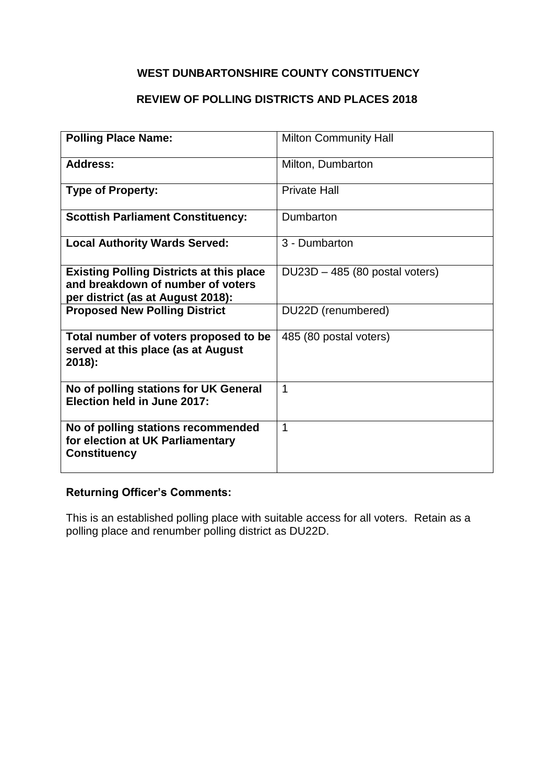# **REVIEW OF POLLING DISTRICTS AND PLACES 2018**

| <b>Polling Place Name:</b>                                                                                                | <b>Milton Community Hall</b>   |
|---------------------------------------------------------------------------------------------------------------------------|--------------------------------|
| <b>Address:</b>                                                                                                           | Milton, Dumbarton              |
| <b>Type of Property:</b>                                                                                                  | <b>Private Hall</b>            |
| <b>Scottish Parliament Constituency:</b>                                                                                  | Dumbarton                      |
| <b>Local Authority Wards Served:</b>                                                                                      | 3 - Dumbarton                  |
| <b>Existing Polling Districts at this place</b><br>and breakdown of number of voters<br>per district (as at August 2018): | DU23D - 485 (80 postal voters) |
| <b>Proposed New Polling District</b>                                                                                      | DU22D (renumbered)             |
| Total number of voters proposed to be<br>served at this place (as at August<br>2018):                                     | 485 (80 postal voters)         |
| No of polling stations for UK General<br>Election held in June 2017:                                                      | 1                              |
| No of polling stations recommended<br>for election at UK Parliamentary<br><b>Constituency</b>                             | $\mathbf 1$                    |

### **Returning Officer's Comments:**

This is an established polling place with suitable access for all voters. Retain as a polling place and renumber polling district as DU22D.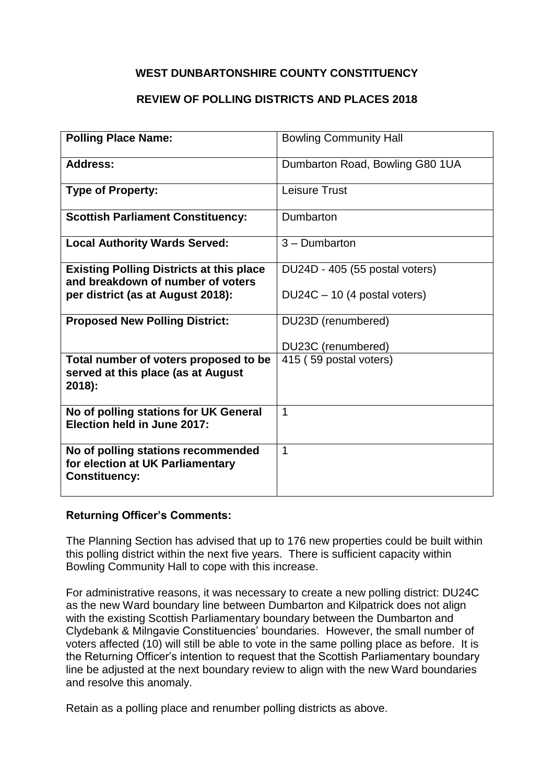### **REVIEW OF POLLING DISTRICTS AND PLACES 2018**

| <b>Polling Place Name:</b>                                                                     | <b>Bowling Community Hall</b>   |
|------------------------------------------------------------------------------------------------|---------------------------------|
| <b>Address:</b>                                                                                | Dumbarton Road, Bowling G80 1UA |
| <b>Type of Property:</b>                                                                       | <b>Leisure Trust</b>            |
| <b>Scottish Parliament Constituency:</b>                                                       | Dumbarton                       |
| <b>Local Authority Wards Served:</b>                                                           | 3 - Dumbarton                   |
| <b>Existing Polling Districts at this place</b><br>and breakdown of number of voters           | DU24D - 405 (55 postal voters)  |
| per district (as at August 2018):                                                              | DU24C - 10 (4 postal voters)    |
| <b>Proposed New Polling District:</b>                                                          | DU23D (renumbered)              |
|                                                                                                | DU23C (renumbered)              |
| Total number of voters proposed to be<br>served at this place (as at August<br>2018):          | 415 (59 postal voters)          |
| No of polling stations for UK General<br>Election held in June 2017:                           | 1                               |
| No of polling stations recommended<br>for election at UK Parliamentary<br><b>Constituency:</b> | 1                               |

#### **Returning Officer's Comments:**

The Planning Section has advised that up to 176 new properties could be built within this polling district within the next five years. There is sufficient capacity within Bowling Community Hall to cope with this increase.

For administrative reasons, it was necessary to create a new polling district: DU24C as the new Ward boundary line between Dumbarton and Kilpatrick does not align with the existing Scottish Parliamentary boundary between the Dumbarton and Clydebank & Milngavie Constituencies' boundaries. However, the small number of voters affected (10) will still be able to vote in the same polling place as before. It is the Returning Officer's intention to request that the Scottish Parliamentary boundary line be adjusted at the next boundary review to align with the new Ward boundaries and resolve this anomaly.

Retain as a polling place and renumber polling districts as above.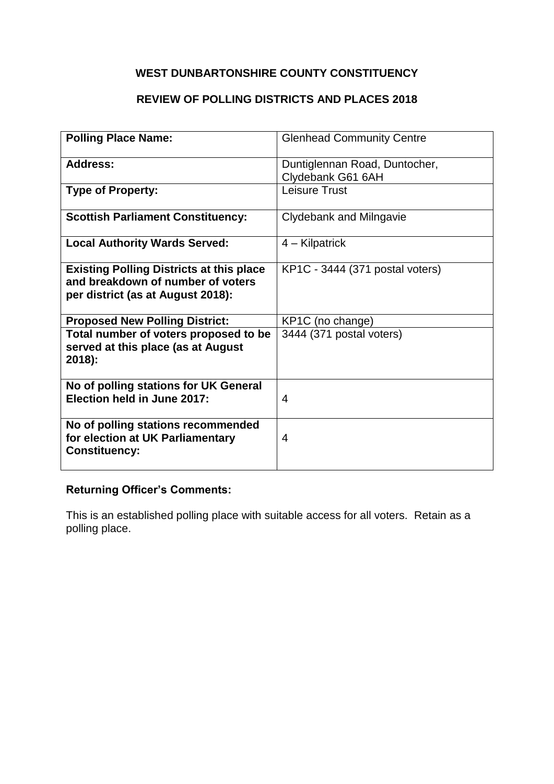# **REVIEW OF POLLING DISTRICTS AND PLACES 2018**

| <b>Polling Place Name:</b>                                                                                                | <b>Glenhead Community Centre</b> |
|---------------------------------------------------------------------------------------------------------------------------|----------------------------------|
|                                                                                                                           |                                  |
| <b>Address:</b>                                                                                                           | Duntiglennan Road, Duntocher,    |
|                                                                                                                           | Clydebank G61 6AH                |
| <b>Type of Property:</b>                                                                                                  | <b>Leisure Trust</b>             |
| <b>Scottish Parliament Constituency:</b>                                                                                  | Clydebank and Milngavie          |
| <b>Local Authority Wards Served:</b>                                                                                      | 4 – Kilpatrick                   |
| <b>Existing Polling Districts at this place</b><br>and breakdown of number of voters<br>per district (as at August 2018): | KP1C - 3444 (371 postal voters)  |
| <b>Proposed New Polling District:</b>                                                                                     | KP1C (no change)                 |
| Total number of voters proposed to be<br>served at this place (as at August<br>2018):                                     | 3444 (371 postal voters)         |
| No of polling stations for UK General<br>Election held in June 2017:                                                      | 4                                |
| No of polling stations recommended<br>for election at UK Parliamentary<br><b>Constituency:</b>                            | 4                                |

# **Returning Officer's Comments:**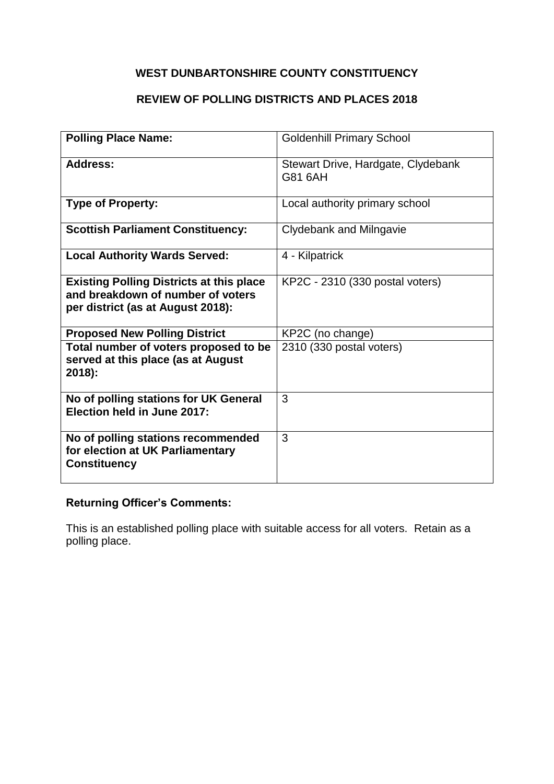# **REVIEW OF POLLING DISTRICTS AND PLACES 2018**

| <b>Polling Place Name:</b>                                                                                                | <b>Goldenhill Primary School</b>              |
|---------------------------------------------------------------------------------------------------------------------------|-----------------------------------------------|
| <b>Address:</b>                                                                                                           | Stewart Drive, Hardgate, Clydebank<br>G81 6AH |
| <b>Type of Property:</b>                                                                                                  | Local authority primary school                |
| <b>Scottish Parliament Constituency:</b>                                                                                  | <b>Clydebank and Milngavie</b>                |
| <b>Local Authority Wards Served:</b>                                                                                      | 4 - Kilpatrick                                |
| <b>Existing Polling Districts at this place</b><br>and breakdown of number of voters<br>per district (as at August 2018): | KP2C - 2310 (330 postal voters)               |
| <b>Proposed New Polling District</b>                                                                                      | KP2C (no change)                              |
| Total number of voters proposed to be<br>served at this place (as at August<br>$2018$ :                                   | 2310 (330 postal voters)                      |
| No of polling stations for UK General<br>Election held in June 2017:                                                      | 3                                             |
| No of polling stations recommended<br>for election at UK Parliamentary<br><b>Constituency</b>                             | 3                                             |

### **Returning Officer's Comments:**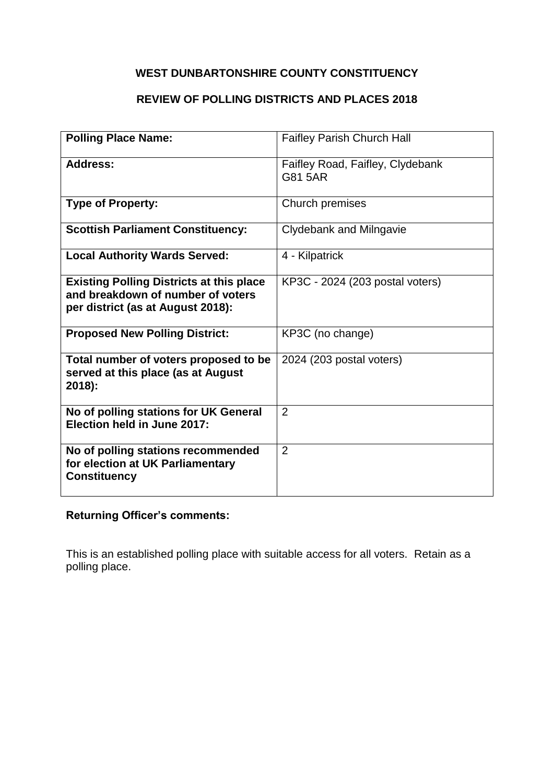# **REVIEW OF POLLING DISTRICTS AND PLACES 2018**

| <b>Polling Place Name:</b>                                                                                                | <b>Faifley Parish Church Hall</b>           |
|---------------------------------------------------------------------------------------------------------------------------|---------------------------------------------|
| <b>Address:</b>                                                                                                           | Faifley Road, Faifley, Clydebank<br>G81 5AR |
| <b>Type of Property:</b>                                                                                                  | Church premises                             |
| <b>Scottish Parliament Constituency:</b>                                                                                  | Clydebank and Milngavie                     |
| <b>Local Authority Wards Served:</b>                                                                                      | 4 - Kilpatrick                              |
| <b>Existing Polling Districts at this place</b><br>and breakdown of number of voters<br>per district (as at August 2018): | KP3C - 2024 (203 postal voters)             |
| <b>Proposed New Polling District:</b>                                                                                     | KP3C (no change)                            |
| Total number of voters proposed to be<br>served at this place (as at August<br>2018):                                     | 2024 (203 postal voters)                    |
| No of polling stations for UK General<br>Election held in June 2017:                                                      | $\overline{2}$                              |
| No of polling stations recommended<br>for election at UK Parliamentary<br><b>Constituency</b>                             | $\overline{2}$                              |

### **Returning Officer's comments:**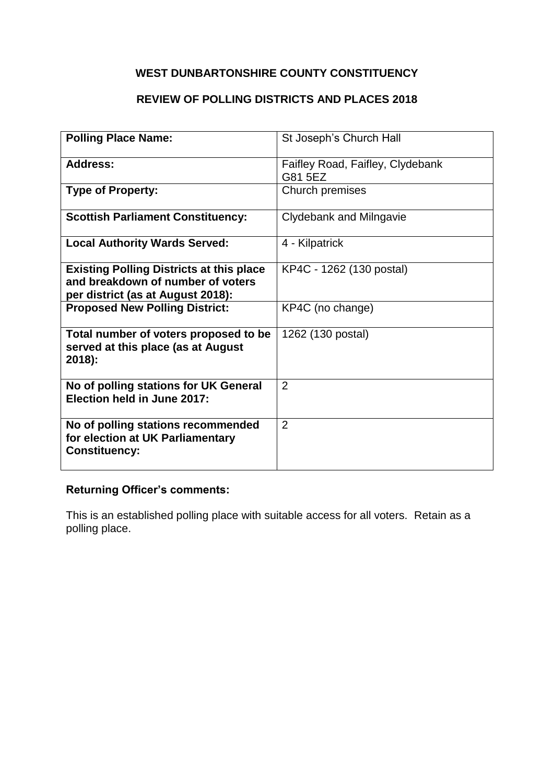# **REVIEW OF POLLING DISTRICTS AND PLACES 2018**

| <b>Polling Place Name:</b>                      | St Joseph's Church Hall          |
|-------------------------------------------------|----------------------------------|
| Address:                                        | Faifley Road, Faifley, Clydebank |
|                                                 | G81 5EZ                          |
| <b>Type of Property:</b>                        | Church premises                  |
| <b>Scottish Parliament Constituency:</b>        | Clydebank and Milngavie          |
| <b>Local Authority Wards Served:</b>            | 4 - Kilpatrick                   |
| <b>Existing Polling Districts at this place</b> | KP4C - 1262 (130 postal)         |
| and breakdown of number of voters               |                                  |
| per district (as at August 2018):               |                                  |
| <b>Proposed New Polling District:</b>           | KP4C (no change)                 |
| Total number of voters proposed to be           | 1262 (130 postal)                |
| served at this place (as at August              |                                  |
| 2018):                                          |                                  |
| No of polling stations for UK General           | 2                                |
| Election held in June 2017:                     |                                  |
| No of polling stations recommended              | 2                                |
| for election at UK Parliamentary                |                                  |
| <b>Constituency:</b>                            |                                  |
|                                                 |                                  |

# **Returning Officer's comments:**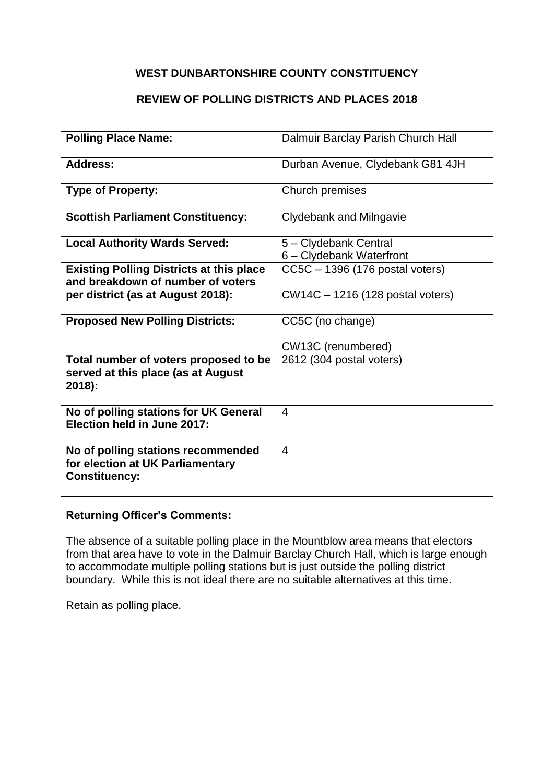### **REVIEW OF POLLING DISTRICTS AND PLACES 2018**

| <b>Polling Place Name:</b>                                                                     | Dalmuir Barclay Parish Church Hall                |
|------------------------------------------------------------------------------------------------|---------------------------------------------------|
| <b>Address:</b>                                                                                | Durban Avenue, Clydebank G81 4JH                  |
| <b>Type of Property:</b>                                                                       | Church premises                                   |
| <b>Scottish Parliament Constituency:</b>                                                       | Clydebank and Milngavie                           |
| <b>Local Authority Wards Served:</b>                                                           | 5 - Clydebank Central<br>6 - Clydebank Waterfront |
| <b>Existing Polling Districts at this place</b><br>and breakdown of number of voters           | CC5C - 1396 (176 postal voters)                   |
| per district (as at August 2018):                                                              | CW14C – 1216 (128 postal voters)                  |
| <b>Proposed New Polling Districts:</b>                                                         | CC5C (no change)                                  |
|                                                                                                | CW13C (renumbered)                                |
| Total number of voters proposed to be<br>served at this place (as at August<br>2018):          | 2612 (304 postal voters)                          |
| No of polling stations for UK General<br>Election held in June 2017:                           | 4                                                 |
| No of polling stations recommended<br>for election at UK Parliamentary<br><b>Constituency:</b> | $\overline{4}$                                    |

#### **Returning Officer's Comments:**

The absence of a suitable polling place in the Mountblow area means that electors from that area have to vote in the Dalmuir Barclay Church Hall, which is large enough to accommodate multiple polling stations but is just outside the polling district boundary. While this is not ideal there are no suitable alternatives at this time.

Retain as polling place.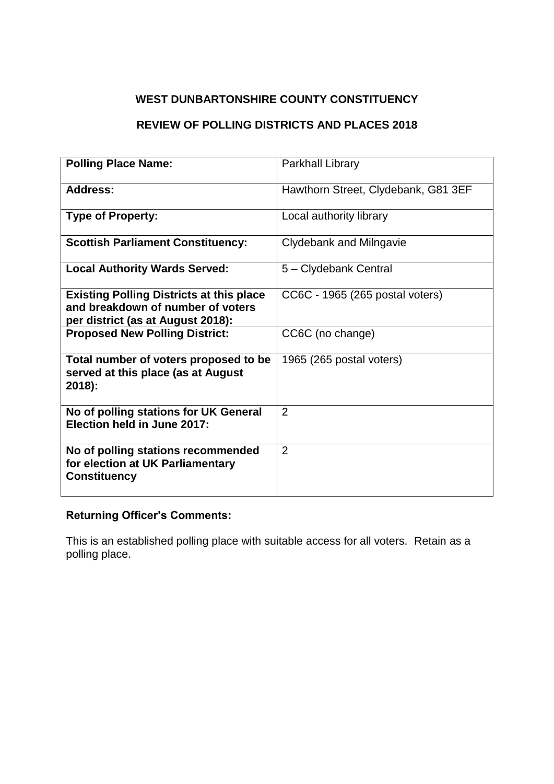### **REVIEW OF POLLING DISTRICTS AND PLACES 2018**

| <b>Polling Place Name:</b>                                                                                                | Parkhall Library                    |
|---------------------------------------------------------------------------------------------------------------------------|-------------------------------------|
| <b>Address:</b>                                                                                                           | Hawthorn Street, Clydebank, G81 3EF |
| <b>Type of Property:</b>                                                                                                  | Local authority library             |
| <b>Scottish Parliament Constituency:</b>                                                                                  | Clydebank and Milngavie             |
| <b>Local Authority Wards Served:</b>                                                                                      | 5 - Clydebank Central               |
| <b>Existing Polling Districts at this place</b><br>and breakdown of number of voters<br>per district (as at August 2018): | CC6C - 1965 (265 postal voters)     |
| <b>Proposed New Polling District:</b>                                                                                     | CC6C (no change)                    |
| Total number of voters proposed to be<br>served at this place (as at August<br>$2018$ :                                   | 1965 (265 postal voters)            |
| No of polling stations for UK General<br>Election held in June 2017:                                                      | $\overline{2}$                      |
| No of polling stations recommended<br>for election at UK Parliamentary<br><b>Constituency</b>                             | $\overline{2}$                      |

### **Returning Officer's Comments:**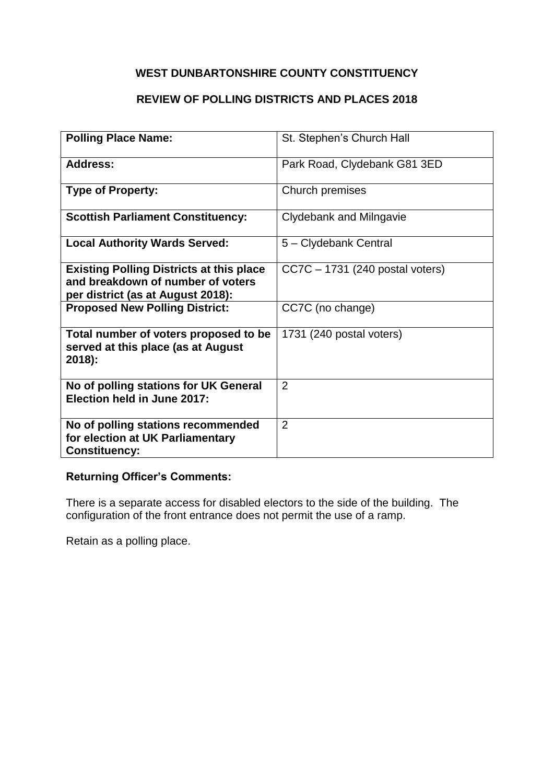# **REVIEW OF POLLING DISTRICTS AND PLACES 2018**

| <b>Polling Place Name:</b>                                                                                                | St. Stephen's Church Hall       |
|---------------------------------------------------------------------------------------------------------------------------|---------------------------------|
| Address:                                                                                                                  | Park Road, Clydebank G81 3ED    |
| <b>Type of Property:</b>                                                                                                  | Church premises                 |
| <b>Scottish Parliament Constituency:</b>                                                                                  | Clydebank and Milngavie         |
| <b>Local Authority Wards Served:</b>                                                                                      | 5 - Clydebank Central           |
| <b>Existing Polling Districts at this place</b><br>and breakdown of number of voters<br>per district (as at August 2018): | CC7C - 1731 (240 postal voters) |
| <b>Proposed New Polling District:</b>                                                                                     | CC7C (no change)                |
| Total number of voters proposed to be<br>served at this place (as at August<br>$2018$ :                                   | 1731 (240 postal voters)        |
| No of polling stations for UK General<br>Election held in June 2017:                                                      | $\overline{2}$                  |
| No of polling stations recommended<br>for election at UK Parliamentary<br><b>Constituency:</b>                            | $\overline{2}$                  |

# **Returning Officer's Comments:**

There is a separate access for disabled electors to the side of the building. The configuration of the front entrance does not permit the use of a ramp.

Retain as a polling place.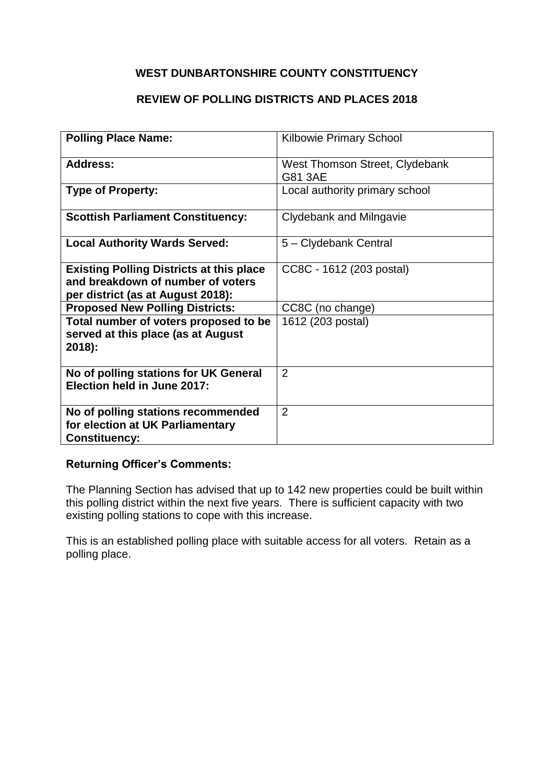### **REVIEW OF POLLING DISTRICTS AND PLACES 2018**

| <b>Polling Place Name:</b>                                                                                                | <b>Kilbowie Primary School</b>            |
|---------------------------------------------------------------------------------------------------------------------------|-------------------------------------------|
| Address:                                                                                                                  | West Thomson Street, Clydebank<br>G81 3AE |
| <b>Type of Property:</b>                                                                                                  | Local authority primary school            |
| <b>Scottish Parliament Constituency:</b>                                                                                  | Clydebank and Milngavie                   |
| <b>Local Authority Wards Served:</b>                                                                                      | 5 - Clydebank Central                     |
| <b>Existing Polling Districts at this place</b><br>and breakdown of number of voters<br>per district (as at August 2018): | CC8C - 1612 (203 postal)                  |
| <b>Proposed New Polling Districts:</b>                                                                                    | CC8C (no change)                          |
| Total number of voters proposed to be<br>served at this place (as at August<br>2018):                                     | 1612 (203 postal)                         |
| No of polling stations for UK General<br>Election held in June 2017:                                                      | 2                                         |
| No of polling stations recommended<br>for election at UK Parliamentary<br><b>Constituency:</b>                            | $\overline{2}$                            |

#### **Returning Officer's Comments:**

The Planning Section has advised that up to 142 new properties could be built within this polling district within the next five years. There is sufficient capacity with two existing polling stations to cope with this increase.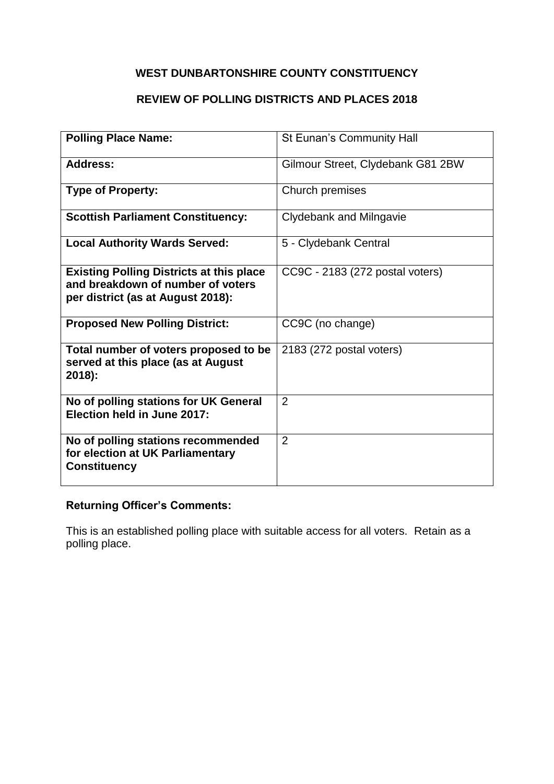# **REVIEW OF POLLING DISTRICTS AND PLACES 2018**

| <b>Polling Place Name:</b>                                                                                                | St Eunan's Community Hall         |
|---------------------------------------------------------------------------------------------------------------------------|-----------------------------------|
| <b>Address:</b>                                                                                                           | Gilmour Street, Clydebank G81 2BW |
| <b>Type of Property:</b>                                                                                                  | Church premises                   |
| <b>Scottish Parliament Constituency:</b>                                                                                  | Clydebank and Milngavie           |
| <b>Local Authority Wards Served:</b>                                                                                      | 5 - Clydebank Central             |
| <b>Existing Polling Districts at this place</b><br>and breakdown of number of voters<br>per district (as at August 2018): | CC9C - 2183 (272 postal voters)   |
| <b>Proposed New Polling District:</b>                                                                                     | CC9C (no change)                  |
| Total number of voters proposed to be<br>served at this place (as at August<br>$2018$ :                                   | 2183 (272 postal voters)          |
| No of polling stations for UK General<br>Election held in June 2017:                                                      | $\overline{2}$                    |
| No of polling stations recommended<br>for election at UK Parliamentary<br><b>Constituency</b>                             | 2                                 |

### **Returning Officer's Comments:**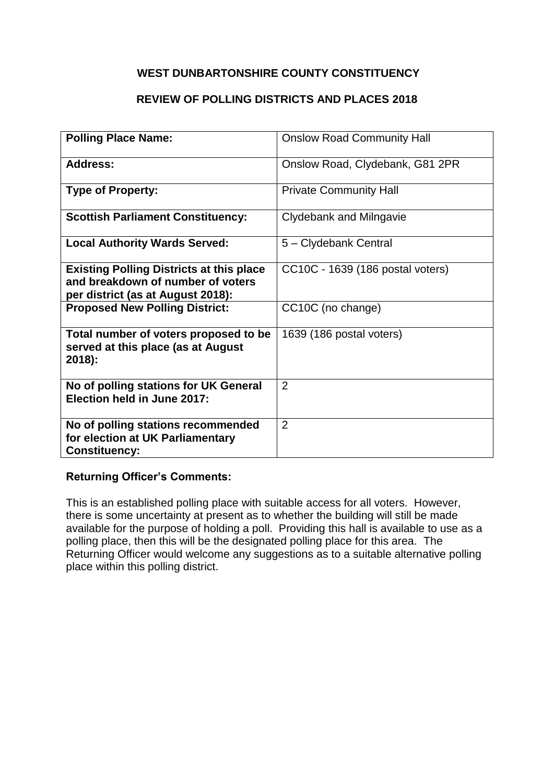### **REVIEW OF POLLING DISTRICTS AND PLACES 2018**

| <b>Polling Place Name:</b>                                                                                                | <b>Onslow Road Community Hall</b> |
|---------------------------------------------------------------------------------------------------------------------------|-----------------------------------|
| Address:                                                                                                                  | Onslow Road, Clydebank, G81 2PR   |
| <b>Type of Property:</b>                                                                                                  | <b>Private Community Hall</b>     |
| <b>Scottish Parliament Constituency:</b>                                                                                  | Clydebank and Milngavie           |
| <b>Local Authority Wards Served:</b>                                                                                      | 5 - Clydebank Central             |
| <b>Existing Polling Districts at this place</b><br>and breakdown of number of voters<br>per district (as at August 2018): | CC10C - 1639 (186 postal voters)  |
| <b>Proposed New Polling District:</b>                                                                                     | CC10C (no change)                 |
| Total number of voters proposed to be<br>served at this place (as at August<br>2018):                                     | 1639 (186 postal voters)          |
| No of polling stations for UK General<br>Election held in June 2017:                                                      | 2                                 |
| No of polling stations recommended<br>for election at UK Parliamentary<br><b>Constituency:</b>                            | $\overline{2}$                    |

### **Returning Officer's Comments:**

This is an established polling place with suitable access for all voters. However, there is some uncertainty at present as to whether the building will still be made available for the purpose of holding a poll. Providing this hall is available to use as a polling place, then this will be the designated polling place for this area. The Returning Officer would welcome any suggestions as to a suitable alternative polling place within this polling district.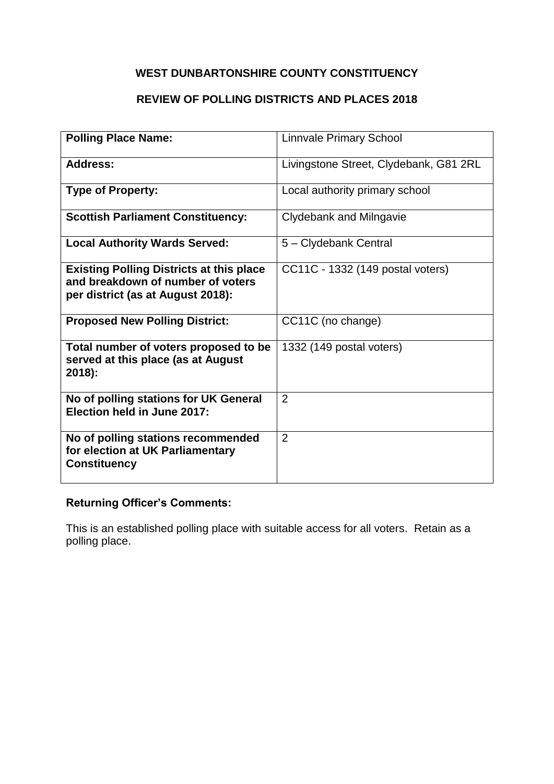# **REVIEW OF POLLING DISTRICTS AND PLACES 2018**

| <b>Polling Place Name:</b>                                                                                                | <b>Linnvale Primary School</b>         |
|---------------------------------------------------------------------------------------------------------------------------|----------------------------------------|
| <b>Address:</b>                                                                                                           | Livingstone Street, Clydebank, G81 2RL |
| <b>Type of Property:</b>                                                                                                  | Local authority primary school         |
| <b>Scottish Parliament Constituency:</b>                                                                                  | Clydebank and Milngavie                |
| <b>Local Authority Wards Served:</b>                                                                                      | 5 - Clydebank Central                  |
| <b>Existing Polling Districts at this place</b><br>and breakdown of number of voters<br>per district (as at August 2018): | CC11C - 1332 (149 postal voters)       |
| <b>Proposed New Polling District:</b>                                                                                     | CC11C (no change)                      |
| Total number of voters proposed to be<br>served at this place (as at August<br>$2018$ :                                   | 1332 (149 postal voters)               |
| No of polling stations for UK General<br>Election held in June 2017:                                                      | 2                                      |
| No of polling stations recommended<br>for election at UK Parliamentary<br><b>Constituency</b>                             | 2                                      |

### **Returning Officer's Comments:**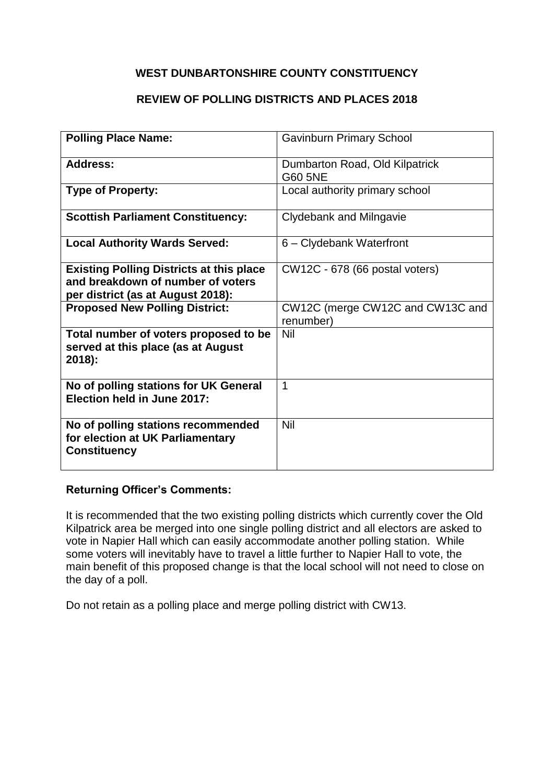### **REVIEW OF POLLING DISTRICTS AND PLACES 2018**

| <b>Polling Place Name:</b>                                                                                                | <b>Gavinburn Primary School</b>               |
|---------------------------------------------------------------------------------------------------------------------------|-----------------------------------------------|
| Address:                                                                                                                  | Dumbarton Road, Old Kilpatrick<br>G60 5NE     |
| <b>Type of Property:</b>                                                                                                  | Local authority primary school                |
| <b>Scottish Parliament Constituency:</b>                                                                                  | Clydebank and Milngavie                       |
| <b>Local Authority Wards Served:</b>                                                                                      | 6 - Clydebank Waterfront                      |
| <b>Existing Polling Districts at this place</b><br>and breakdown of number of voters<br>per district (as at August 2018): | CW12C - 678 (66 postal voters)                |
| <b>Proposed New Polling District:</b>                                                                                     | CW12C (merge CW12C and CW13C and<br>renumber) |
| Total number of voters proposed to be<br>served at this place (as at August<br>2018):                                     | Nil                                           |
| No of polling stations for UK General<br>Election held in June 2017:                                                      | 1                                             |
| No of polling stations recommended<br>for election at UK Parliamentary<br><b>Constituency</b>                             | Nil                                           |

#### **Returning Officer's Comments:**

It is recommended that the two existing polling districts which currently cover the Old Kilpatrick area be merged into one single polling district and all electors are asked to vote in Napier Hall which can easily accommodate another polling station. While some voters will inevitably have to travel a little further to Napier Hall to vote, the main benefit of this proposed change is that the local school will not need to close on the day of a poll.

Do not retain as a polling place and merge polling district with CW13.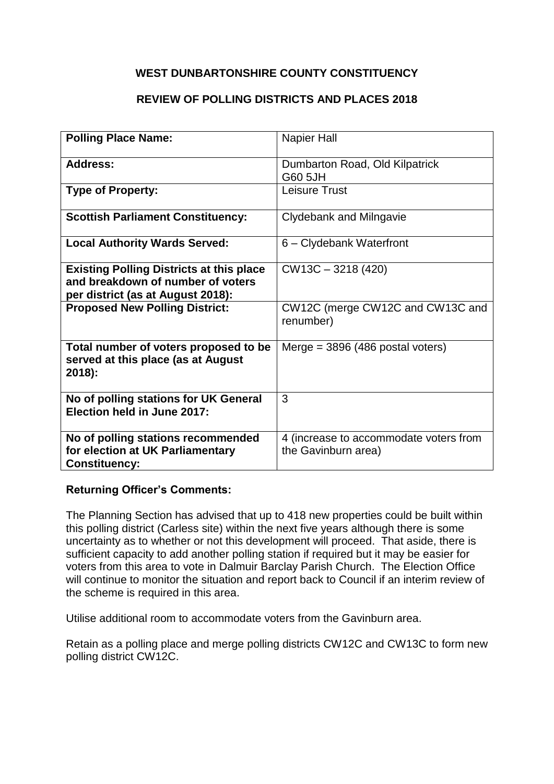### **REVIEW OF POLLING DISTRICTS AND PLACES 2018**

| <b>Polling Place Name:</b>                                                                                                | Napier Hall                                                   |
|---------------------------------------------------------------------------------------------------------------------------|---------------------------------------------------------------|
| <b>Address:</b>                                                                                                           | Dumbarton Road, Old Kilpatrick<br>G60 5JH                     |
| <b>Type of Property:</b>                                                                                                  | Leisure Trust                                                 |
| <b>Scottish Parliament Constituency:</b>                                                                                  | Clydebank and Milngavie                                       |
| <b>Local Authority Wards Served:</b>                                                                                      | 6 - Clydebank Waterfront                                      |
| <b>Existing Polling Districts at this place</b><br>and breakdown of number of voters<br>per district (as at August 2018): | $CW13C - 3218(420)$                                           |
| <b>Proposed New Polling District:</b>                                                                                     | CW12C (merge CW12C and CW13C and<br>renumber)                 |
| Total number of voters proposed to be<br>served at this place (as at August<br>2018):                                     | Merge = $3896$ (486 postal voters)                            |
| No of polling stations for UK General<br>Election held in June 2017:                                                      | 3                                                             |
| No of polling stations recommended<br>for election at UK Parliamentary<br><b>Constituency:</b>                            | 4 (increase to accommodate voters from<br>the Gavinburn area) |

### **Returning Officer's Comments:**

The Planning Section has advised that up to 418 new properties could be built within this polling district (Carless site) within the next five years although there is some uncertainty as to whether or not this development will proceed. That aside, there is sufficient capacity to add another polling station if required but it may be easier for voters from this area to vote in Dalmuir Barclay Parish Church. The Election Office will continue to monitor the situation and report back to Council if an interim review of the scheme is required in this area.

Utilise additional room to accommodate voters from the Gavinburn area.

Retain as a polling place and merge polling districts CW12C and CW13C to form new polling district CW12C.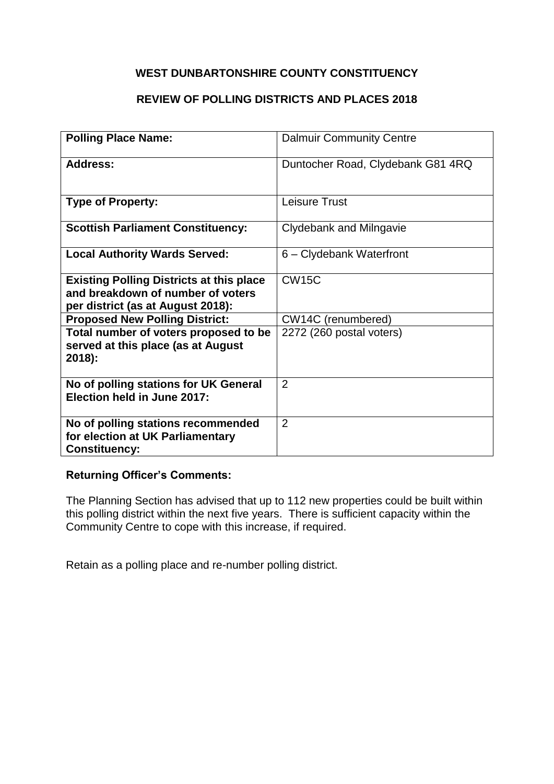### **REVIEW OF POLLING DISTRICTS AND PLACES 2018**

| <b>Polling Place Name:</b>                                                                                                | <b>Dalmuir Community Centre</b>   |
|---------------------------------------------------------------------------------------------------------------------------|-----------------------------------|
| Address:                                                                                                                  | Duntocher Road, Clydebank G81 4RQ |
| <b>Type of Property:</b>                                                                                                  | <b>Leisure Trust</b>              |
| <b>Scottish Parliament Constituency:</b>                                                                                  | Clydebank and Milngavie           |
| <b>Local Authority Wards Served:</b>                                                                                      | 6 - Clydebank Waterfront          |
| <b>Existing Polling Districts at this place</b><br>and breakdown of number of voters<br>per district (as at August 2018): | <b>CW15C</b>                      |
| <b>Proposed New Polling District:</b>                                                                                     | CW14C (renumbered)                |
| Total number of voters proposed to be<br>served at this place (as at August<br>$2018$ :                                   | 2272 (260 postal voters)          |
| No of polling stations for UK General<br>Election held in June 2017:                                                      | $\overline{2}$                    |
| No of polling stations recommended<br>for election at UK Parliamentary<br><b>Constituency:</b>                            | $\overline{2}$                    |

### **Returning Officer's Comments:**

The Planning Section has advised that up to 112 new properties could be built within this polling district within the next five years. There is sufficient capacity within the Community Centre to cope with this increase, if required.

Retain as a polling place and re-number polling district.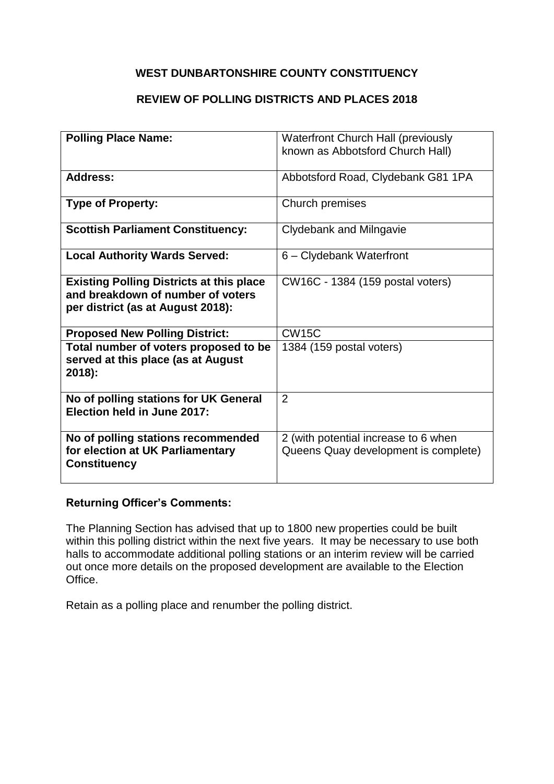### **REVIEW OF POLLING DISTRICTS AND PLACES 2018**

| <b>Polling Place Name:</b>                                                                                                | <b>Waterfront Church Hall (previously</b><br>known as Abbotsford Church Hall) |
|---------------------------------------------------------------------------------------------------------------------------|-------------------------------------------------------------------------------|
|                                                                                                                           |                                                                               |
| <b>Address:</b>                                                                                                           | Abbotsford Road, Clydebank G81 1PA                                            |
| <b>Type of Property:</b>                                                                                                  | Church premises                                                               |
| <b>Scottish Parliament Constituency:</b>                                                                                  | Clydebank and Milngavie                                                       |
| <b>Local Authority Wards Served:</b>                                                                                      | 6 - Clydebank Waterfront                                                      |
| <b>Existing Polling Districts at this place</b><br>and breakdown of number of voters<br>per district (as at August 2018): | CW16C - 1384 (159 postal voters)                                              |
| <b>Proposed New Polling District:</b>                                                                                     | <b>CW15C</b>                                                                  |
| Total number of voters proposed to be<br>served at this place (as at August<br>2018):                                     | 1384 (159 postal voters)                                                      |
| No of polling stations for UK General<br>Election held in June 2017:                                                      | $\overline{2}$                                                                |
| No of polling stations recommended<br>for election at UK Parliamentary<br><b>Constituency</b>                             | 2 (with potential increase to 6 when<br>Queens Quay development is complete)  |

#### **Returning Officer's Comments:**

The Planning Section has advised that up to 1800 new properties could be built within this polling district within the next five years. It may be necessary to use both halls to accommodate additional polling stations or an interim review will be carried out once more details on the proposed development are available to the Election Office.

Retain as a polling place and renumber the polling district.